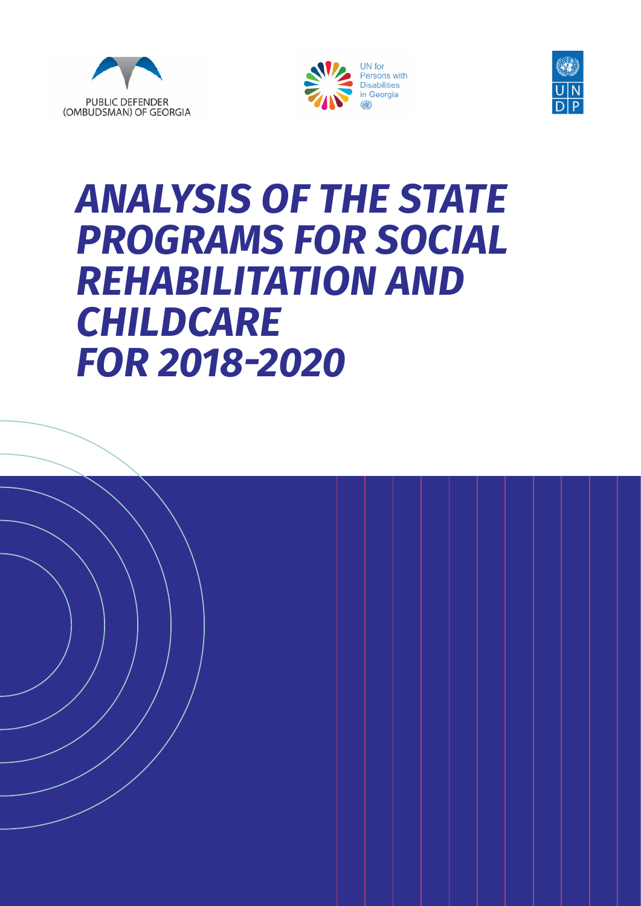





# *ANALYSIS OF THE STATE PROGRAMS FOR SOCIAL REHABILITATION AND CHILDCARE*   $FOR$  2018-2020

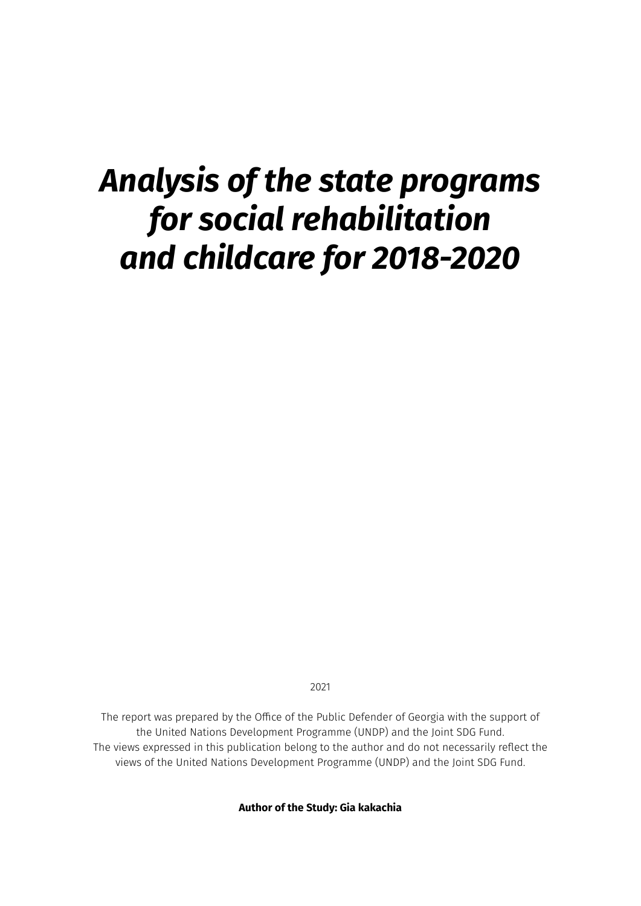# *Analysis of the state programs for social rehabilitation and childcare for 2018-2020*

2021

The report was prepared by the Office of the Public Defender of Georgia with the support of the United Nations Development Programme (UNDP) and the Joint SDG Fund. The views expressed in this publication belong to the author and do not necessarily reflect the views of the United Nations Development Programme (UNDP) and the Joint SDG Fund.

**Author of the Study: Gia kakachia**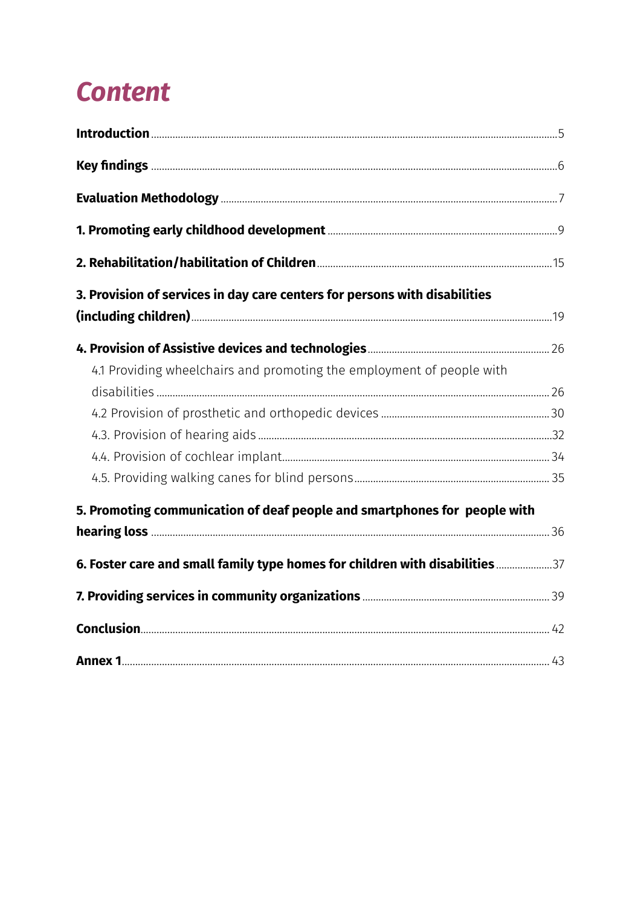# *Content*

| 3. Provision of services in day care centers for persons with disabilities   |  |
|------------------------------------------------------------------------------|--|
|                                                                              |  |
| 4.1 Providing wheelchairs and promoting the employment of people with        |  |
|                                                                              |  |
|                                                                              |  |
|                                                                              |  |
|                                                                              |  |
| 5. Promoting communication of deaf people and smartphones for people with    |  |
|                                                                              |  |
| 6. Foster care and small family type homes for children with disabilities 37 |  |
|                                                                              |  |
|                                                                              |  |
|                                                                              |  |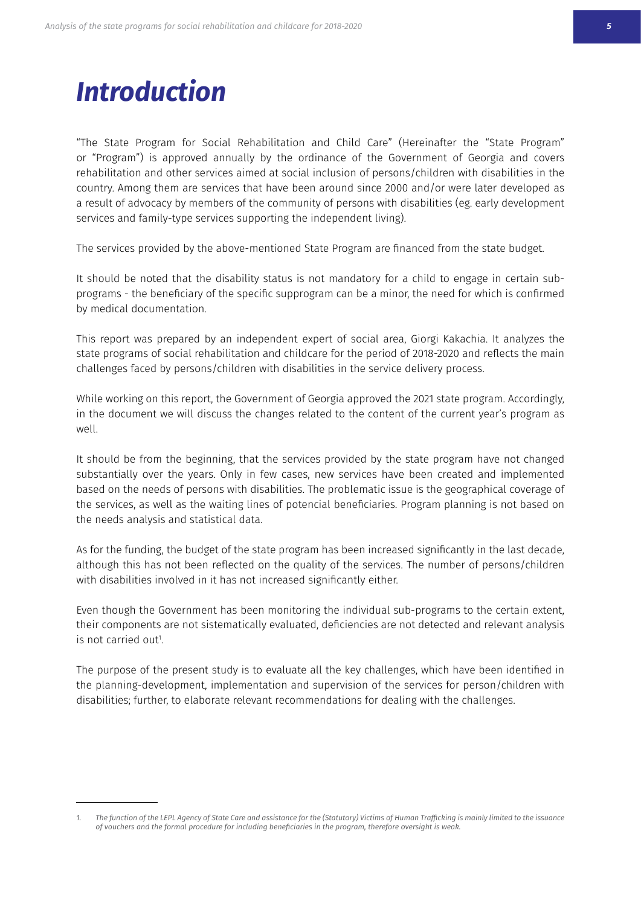# <span id="page-3-0"></span>*Introduction*

"The State Program for Social Rehabilitation and Child Care" (Hereinafter the "State Program" or "Program") is approved annually by the ordinance of the Government of Georgia and covers rehabilitation and other services aimed at social inclusion of persons/children with disabilities in the country. Among them are services that have been around since 2000 and/or were later developed as a result of advocacy by members of the community of persons with disabilities (eg. early development services and family-type services supporting the independent living).

The services provided by the above-mentioned State Program are financed from the state budget.

It should be noted that the disability status is not mandatory for a child to engage in certain subprograms - the beneficiary of the specific supprogram can be a minor, the need for which is confirmed by medical documentation.

This report was prepared by an independent expert of social area, Giorgi Kakachia. It analyzes the state programs of social rehabilitation and childcare for the period of 2018-2020 and reflects the main challenges faced by persons/children with disabilities in the service delivery process.

While working on this report, the Government of Georgia approved the 2021 state program. Accordingly, in the document we will discuss the changes related to the content of the current year's program as well.

It should be from the beginning, that the services provided by the state program have not changed substantially over the years. Only in few cases, new services have been created and implemented based on the needs of persons with disabilities. The problematic issue is the geographical coverage of the services, as well as the waiting lines of potencial beneficiaries. Program planning is not based on the needs analysis and statistical data.

As for the funding, the budget of the state program has been increased significantly in the last decade, although this has not been reflected on the quality of the services. The number of persons/children with disabilities involved in it has not increased significantly either.

Even though the Government has been monitoring the individual sub-programs to the certain extent, their components are not sistematically evaluated, deficiencies are not detected and relevant analysis is not carried out!

The purpose of the present study is to evaluate all the key challenges, which have been identified in the planning-development, implementation and supervision of the services for person/children with disabilities; further, to elaborate relevant recommendations for dealing with the challenges.

<sup>1.</sup> The function of the LEPL Agency of State Care and assistance for the (Statutory) Victims of Human Trafficking is mainly limited to the issuance of vouchers and the formal procedure for including beneficiaries in the program, therefore oversight is weak.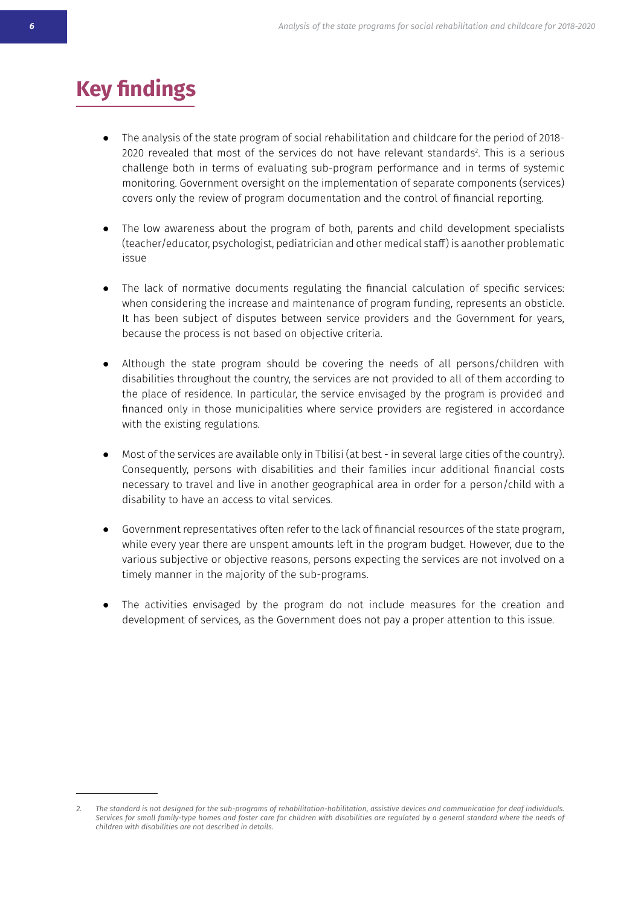## <span id="page-4-0"></span>**Key findings**

- The analysis of the state program of social rehabilitation and childcare for the period of 2018-2020 revealed that most of the services do not have relevant standards<sup>2</sup>. This is a serious challenge both in terms of evaluating sub-program performance and in terms of systemic monitoring. Government oversight on the implementation of separate components (services) covers only the review of program documentation and the control of financial reporting.
- The low awareness about the program of both, parents and child development specialists (teacher/educator, psychologist, pediatrician and other medical staff) is aanother problematic issue
- The lack of normative documents regulating the financial calculation of specific services: when considering the increase and maintenance of program funding, represents an obsticle. It has been subject of disputes between service providers and the Government for years, because the process is not based on objective criteria.
- Although the state program should be covering the needs of all persons/children with disabilities throughout the country, the services are not provided to all of them according to the place of residence. In particular, the service envisaged by the program is provided and financed only in those municipalities where service providers are registered in accordance with the existing regulations.
- Most of the services are available only in Tbilisi (at best in several large cities of the country). Consequently, persons with disabilities and their families incur additional financial costs necessary to travel and live in another geographical area in order for a person/child with a disability to have an access to vital services.
- Government representatives often refer to the lack of financial resources of the state program, while every year there are unspent amounts left in the program budget. However, due to the various subjective or objective reasons, persons expecting the services are not involved on a timely manner in the majority of the sub-programs.
- The activities envisaged by the program do not include measures for the creation and development of services, as the Government does not pay a proper attention to this issue.

<sup>2.</sup> The standard is not designed for the sub-programs of rehabilitation-habilitation, assistive devices and communication for deaf individuals. Services for small family-type homes and foster care for children with disabilities are regulated by a general standard where the needs of *Ƈǥǰȓƒɰƥȫ-ˏǰʍǥ-ƒǰʀřŽǰȓǰʍǰƥʀ-řɰƥ-ȫȻʍ-ƒƥʀƇɰǰŽƥƒ-ǰȫ-ƒƥʍřǰȓʀ*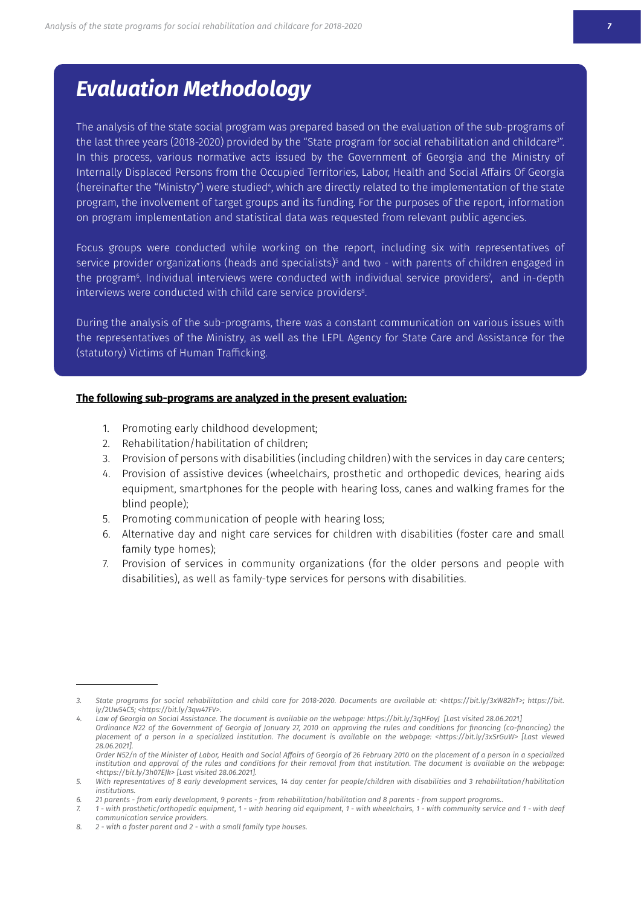### <span id="page-5-0"></span>*Evaluation Methodology*

The analysis of the state social program was prepared based on the evaluation of the sub-programs of the last three years (2018-2020) provided by the "State program for social rehabilitation and childcare". In this process, various normative acts issued by the Government of Georgia and the Ministry of Internally Displaced Persons from the Occupied Territories, Labor, Health and Social Affairs Of Georgia (hereinafter the "Ministry") were studied", which are directly related to the implementation of the state program, the involvement of target groups and its funding. For the purposes of the report, information on program implementation and statistical data was requested from relevant public agencies.

Focus groups were conducted while working on the report, including six with representatives of service provider organizations (heads and specialists)§ and two - with parents of children engaged in the program<sup>6</sup>. Individual interviews were conducted with individual service providers<sup>7</sup>, and in-depth interviews were conducted with child care service providers<sup>8</sup>.

During the analysis of the sub-programs, there was a constant communication on various issues with the representatives of the Ministry, as well as the LEPL Agency for State Care and Assistance for the (statutory) Victims of Human Trafficking.

#### The following sub-programs are analyzed in the present evaluation:

- 1. Promoting early childhood development;
- 2. Rehabilitation/habilitation of children;
- 3. Provision of persons with disabilities (including children) with the services in day care centers;
- 4. Provision of assistive devices (wheelchairs, prosthetic and orthopedic devices, hearing aids equipment, smartphones for the people with hearing loss, canes and walking frames for the blind people);
- 5. Promoting communication of people with hearing loss;
- 6. Alternative day and night care services for children with disabilities (foster care and small family type homes);
- 7. Provision of services in community organizations (for the older persons and people with disabilities), as well as family-type services for persons with disabilities.

*<sup>3.</sup> State programs for social rehabilitation and child care for 2018-2020. Documents are available at: <https://bit.ly/3xW82hT>; https://bit. ly/2Uw54C5;* <https://bit.ly/3qw47FV>.

<sup>4.</sup> Law of Georgia on Social Assistance. The document is available on the webpage: https://bit.ly/3qHFoyJ [Last visited 28.06.2021] Ordinance N22 of the Government of Georgia of January 27, 2010 on approving the rules and conditions for financing (co-financing) the placement of a person in a specialized institution. The document is available on the webpage: <https://bit.ly/3xSrGuW> [Last viewed  $28.06.2021$ 

Order N52/n of the Minister of Labor, Health and Social Affairs of Georgia of 26 February 2010 on the placement of a person in a specialized institution and approval of the rules and conditions for their removal from that institution. The document is available on the webpage: *ཎǥʍʍɦʀຑຑŽǰʍȓ˘ຑිǥාූDȍཌྷ-ຠřʀʍ-ˋǰʀǰʍƥƒ-ෑාෑාෑැມ*

<sup>5.</sup> With representatives of 8 early development services, 14 day center for people/children with disabilities and 3 rehabilitation/habilitation *institutions.*

<sup>6. 21</sup> parents - from early development, 9 parents - from rehabilitation/habilitation and 8 parents - from support programs..

<sup>7. 1 -</sup> with prosthetic/orthopedic equipment, 1 - with hearing aid equipment, 1 - with wheelchairs, 1 - with community service and 1 - with deaf *communication service providers.*

*<sup>8.</sup>* 2 - with a foster parent and 2 - with a small family type houses.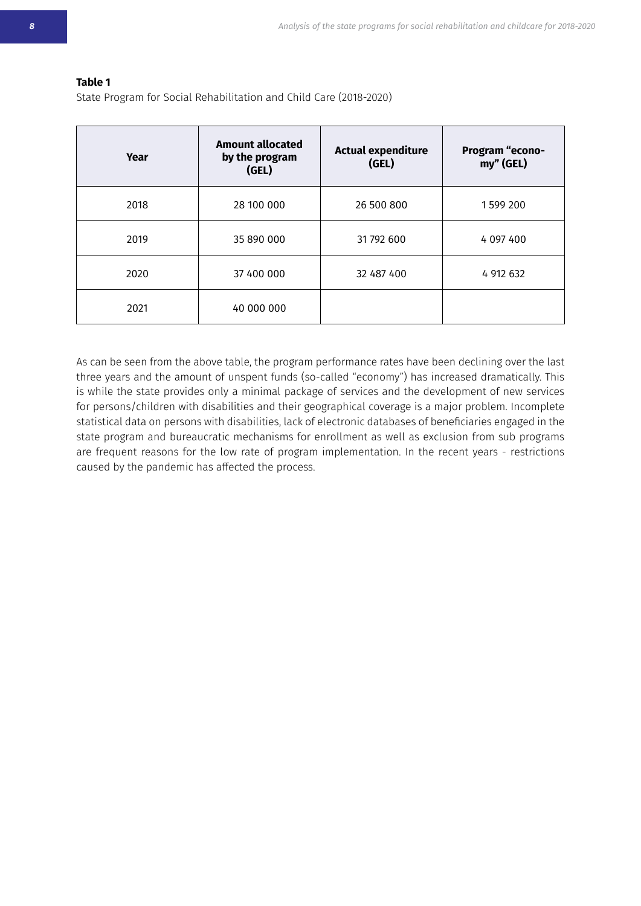#### **Table 1**

State Program for Social Rehabilitation and Child Care (2018-2020)

| Year | <b>Amount allocated</b><br>by the program<br>(GEL) | <b>Actual expenditure</b><br>(GEL) | <b>Program "econo-</b><br>my" (GEL) |
|------|----------------------------------------------------|------------------------------------|-------------------------------------|
| 2018 | 28 100 000                                         | 26 500 800                         | 1599 200                            |
| 2019 | 35 890 000                                         | 31 792 600                         | 4 097 400                           |
| 2020 | 37 400 000                                         | 32 487 400                         | 4 912 632                           |
| 2021 | 40 000 000                                         |                                    |                                     |

As can be seen from the above table, the program performance rates have been declining over the last three years and the amount of unspent funds (so-called "economy") has increased dramatically. This is while the state provides only a minimal package of services and the development of new services for persons/children with disabilities and their geographical coverage is a major problem. Incomplete statistical data on persons with disabilities, lack of electronic databases of beneficiaries engaged in the state program and bureaucratic mechanisms for enrollment as well as exclusion from sub programs are frequent reasons for the low rate of program implementation. In the recent years - restrictions caused by the pandemic has affected the process.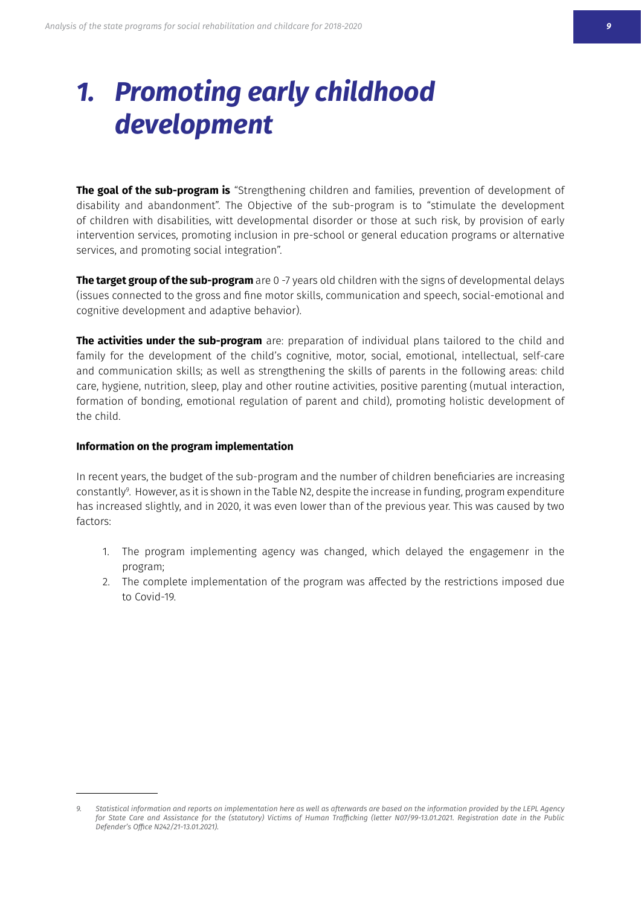# <span id="page-7-0"></span>*1. Promoting early childhood development*

**The goal of the sub-program is** "Strengthening children and families, prevention of development of disability and abandonment". The Objective of the sub-program is to "stimulate the development of children with disabilities, witt developmental disorder or those at such risk, by provision of early intervention services, promoting inclusion in pre-school or general education programs or alternative services, and promoting social integration".

**The target group of the sub-program** are 0-7 years old children with the signs of developmental delays (issues connected to the gross and fine motor skills, communication and speech, social-emotional and cognitive development and adaptive behavior).

**The activities under the sub-program** are: preparation of individual plans tailored to the child and family for the development of the child's cognitive, motor, social, emotional, intellectual, self-care and communication skills; as well as strengthening the skills of parents in the following areas: child care, hygiene, nutrition, sleep, play and other routine activities, positive parenting (mutual interaction, formation of bonding, emotional regulation of parent and child), promoting holistic development of the child.

#### **Information on the program implementation**

In recent years, the budget of the sub-program and the number of children beneficiaries are increasing constantly<sup>9</sup>. However, as it is shown in the Table N2, despite the increase in funding, program expenditure has increased slightly, and in 2020, it was even lower than of the previous year. This was caused by two factors:

- 1. The program implementing agency was changed, which delayed the engagemenr in the program:
- 2. The complete implementation of the program was affected by the restrictions imposed due to Covid-19

<sup>9.</sup> Statistical information and reports on implementation here as well as afterwards are based on the information provided by the LEPL Agency for State Care and Assistance for the (statutory) Victims of Human Trafficking (letter N07/99-13.01.2021. Registration date in the Public *Defender's Office N242/21-13.01.2021).*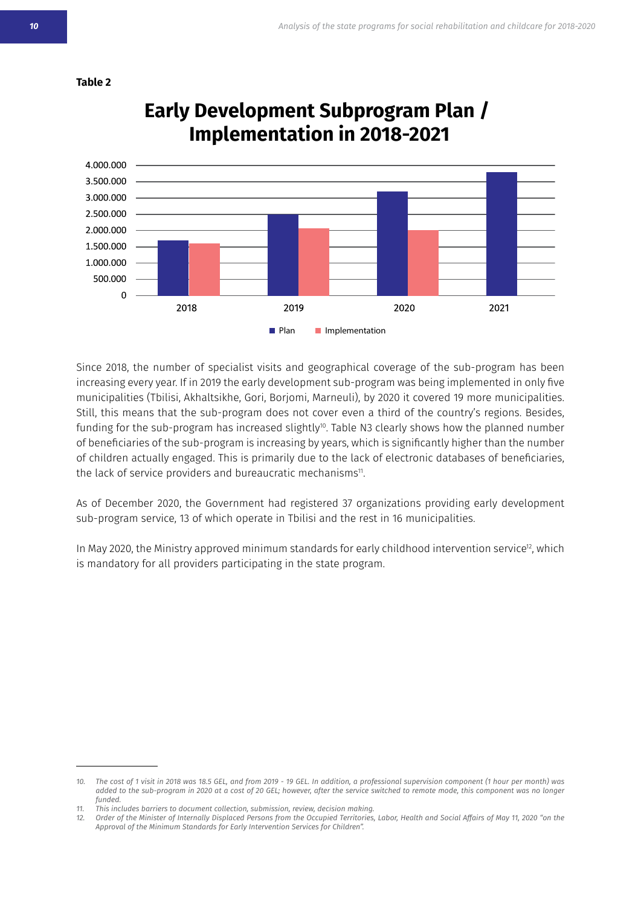



### **Early Development Subprogram Plan / Implementation in 2018-2021**

Since 2018, the number of specialist visits and geographical coverage of the sub-program has been increasing every year. If in 2019 the early development sub-program was being implemented in only five municipalities (Tbilisi, Akhaltsikhe, Gori, Borjomi, Marneuli), by 2020 it covered 19 more municipalities. Still, this means that the sub-program does not cover even a third of the country's regions. Besides, funding for the sub-program has increased slightly<sup>10</sup>. Table N3 clearly shows how the planned number of beneficiaries of the sub-program is increasing by years, which is significantly higher than the number of children actually engaged. This is primarily due to the lack of electronic databases of beneficiaries, the lack of service providers and bureaucratic mechanisms<sup>11</sup>.

As of December 2020, the Government had registered 37 organizations providing early development sub-program service, 13 of which operate in Tbilisi and the rest in 16 municipalities.

In May 2020, the Ministry approved minimum standards for early childhood intervention service<sup>12</sup>, which is mandatory for all providers participating in the state program.

<sup>10.</sup> The cost of 1 visit in 2018 was 18.5 GEL, and from 2019 - 19 GEL. In addition, a professional supervision component (1 hour per month) was added to the sub-program in 2020 at a cost of 20 GEL; however, after the service switched to remote mode, this component was no longer *funded.*

*ngain.* This includes barriers to document collection, submission, review, decision making.

<sup>12.</sup> Order of the Minister of Internally Displaced Persons from the Occupied Territories, Labor, Health and Social Affairs of May 11, 2020 "on the *Approval of the Minimum Standards for Early Intervention Services for Children".*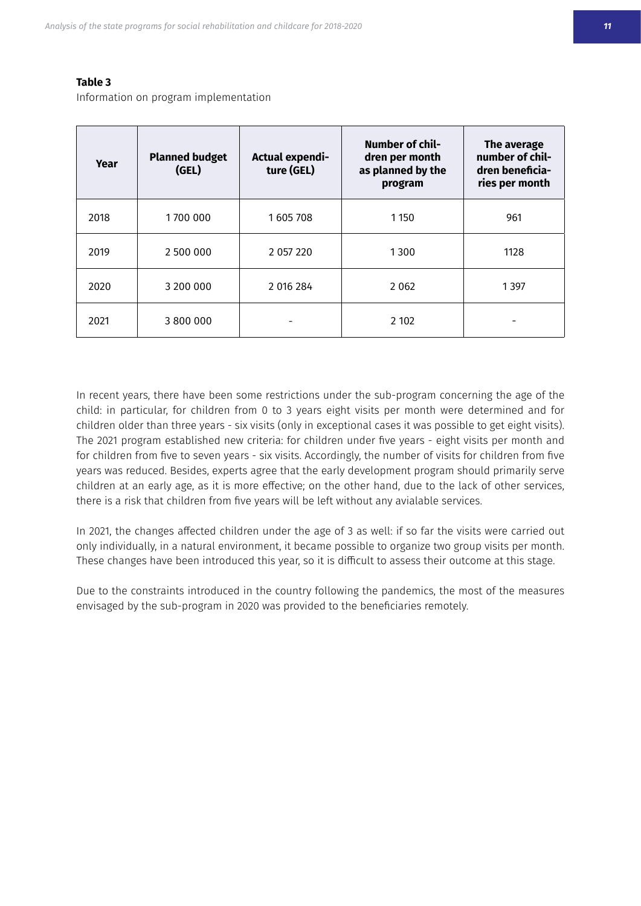#### **Table 3**

Information on program implementation

| Year | <b>Planned budget</b><br>(GEL) | Actual expendi-<br>ture (GEL) | <b>Number of chil-</b><br>dren per month<br>as planned by the<br>program | The average<br>number of chil-<br>dren beneficia-<br>ries per month |
|------|--------------------------------|-------------------------------|--------------------------------------------------------------------------|---------------------------------------------------------------------|
| 2018 | 1700 000                       | 1605708                       | 1 1 5 0                                                                  | 961                                                                 |
| 2019 | 2 500 000                      | 2 057 220                     | 1300                                                                     | 1128                                                                |
| 2020 | 3 200 000                      | 2 016 284                     | 2 0 6 2                                                                  | 1 3 9 7                                                             |
| 2021 | 3 800 000                      |                               | 2 10 2                                                                   |                                                                     |

In recent years, there have been some restrictions under the sub-program concerning the age of the child: in particular, for children from 0 to 3 years eight visits per month were determined and for children older than three years - six visits (only in exceptional cases it was possible to get eight visits). The 2021 program established new criteria: for children under five years - eight visits per month and for children from five to seven years - six visits. Accordingly, the number of visits for children from five years was reduced. Besides, experts agree that the early development program should primarily serve children at an early age, as it is more effective; on the other hand, due to the lack of other services, there is a risk that children from five years will be left without any avialable services.

In 2021, the changes affected children under the age of 3 as well: if so far the visits were carried out only individually, in a natural environment, it became possible to organize two group visits per month. These changes have been introduced this year, so it is difficult to assess their outcome at this stage.

Due to the constraints introduced in the country following the pandemics, the most of the measures envisaged by the sub-program in 2020 was provided to the beneficiaries remotely.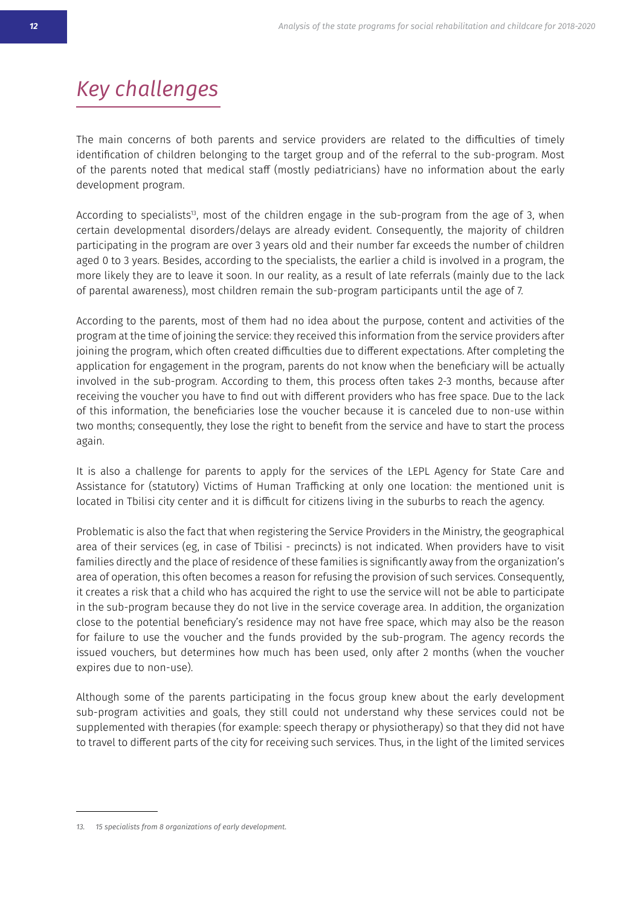# *Key challenges*

The main concerns of both parents and service providers are related to the difficulties of timely identification of children belonging to the target group and of the referral to the sub-program. Most of the parents noted that medical staff (mostly pediatricians) have no information about the early development program.

According to specialists<sup>13</sup>, most of the children engage in the sub-program from the age of 3, when certain developmental disorders/delays are already evident. Consequently, the majority of children participating in the program are over 3 years old and their number far exceeds the number of children aged 0 to 3 years. Besides, according to the specialists, the earlier a child is involved in a program, the more likely they are to leave it soon. In our reality, as a result of late referrals (mainly due to the lack of parental awareness), most children remain the sub-program participants until the age of 7.

According to the parents, most of them had no idea about the purpose, content and activities of the program at the time of joining the service: they received this information from the service providers after joining the program, which often created difficulties due to different expectations. After completing the application for engagement in the program, parents do not know when the beneficiary will be actually involved in the sub-program. According to them, this process often takes 2-3 months, because after receiving the voucher you have to find out with different providers who has free space. Due to the lack of this information, the beneficiaries lose the voucher because it is canceled due to non-use within two months; consequently, they lose the right to benefit from the service and have to start the process again.

It is also a challenge for parents to apply for the services of the LEPL Agency for State Care and Assistance for (statutory) Victims of Human Trafficking at only one location: the mentioned unit is to to abouch the subterst order the subterstand it is difficult for citizens living in the suburbs to reach the agency.

Problematic is also the fact that when registering the Service Providers in the Ministry, the geographical area of their services (eg, in case of Tbilisi - precincts) is not indicated. When providers have to visit families directly and the place of residence of these families is significantly away from the organization's area of operation, this often becomes a reason for refusing the provision of such services. Consequently, it creates a risk that a child who has acquired the right to use the service will not be able to participate in the sub-program because they do not live in the service coverage area. In addition, the organization close to the potential beneficiary's residence may not have free space, which may also be the reason for failure to use the voucher and the funds provided by the sub-program. The agency records the issued vouchers, but determines how much has been used, only after 2 months (when the voucher expires due to non-use).

Although some of the parents participating in the focus group knew about the early development sub-program activities and goals, they still could not understand why these services could not be supplemented with therapies (for example: speech therapy or physiotherapy) so that they did not have to travel to different parts of the city for receiving such services. Thus, in the light of the limited services

<sup>13. 15</sup> specialists from 8 organizations of early development.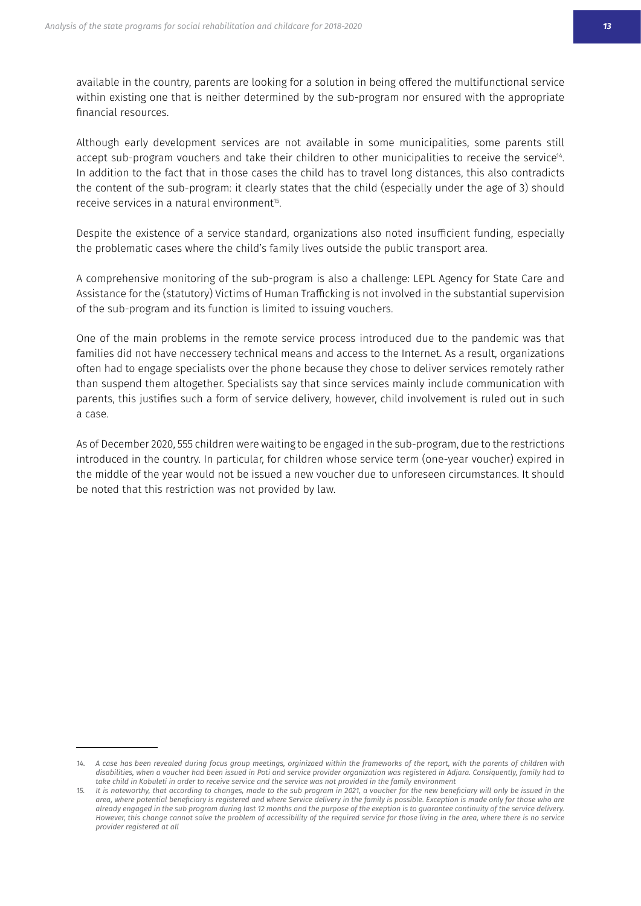available in the country, parents are looking for a solution in being offered the multifunctional service within existing one that is neither determined by the sub-program nor ensured with the appropriate financial resources.

Although early development services are not available in some municipalities, some parents still accept sub-program vouchers and take their children to other municipalities to receive the service<sup>14</sup>. In addition to the fact that in those cases the child has to travel long distances, this also contradicts the content of the sub-program: it clearly states that the child (especially under the age of 3) should receive services in a natural environment<sup>15</sup>.

Despite the existence of a service standard, organizations also noted insufficient funding, especially the problematic cases where the child's family lives outside the public transport area.

A comprehensive monitoring of the sub-program is also a challenge: LEPL Agency for State Care and Assistance for the (statutory) Victims of Human Trafficking is not involved in the substantial supervision of the sub-program and its function is limited to issuing vouchers.

One of the main problems in the remote service process introduced due to the pandemic was that families did not have neccessery technical means and access to the Internet. As a result, organizations often had to engage specialists over the phone because they chose to deliver services remotely rather than suspend them altogether. Specialists say that since services mainly include communication with parents, this justifies such a form of service delivery, however, child involvement is ruled out in such a case.

As of December 2020, 555 children were waiting to be engaged in the sub-program, due to the restrictions introduced in the country. In particular, for children whose service term (one-year voucher) expired in the middle of the year would not be issued a new voucher due to unforeseen circumstances. It should be noted that this restriction was not provided by law.

<sup>14.</sup> A case has been revealed during focus group meetings, orginizaed within the frameworks of the report, with the parents of children with disabilities, when a voucher had been issued in Poti and service provider organization was registered in Adjara. Consiquently, family had to take child in Kobuleti in order to receive service and the service was not provided in the family environment

<sup>15.</sup> It is noteworthy, that according to changes, made to the sub program in 2021, a voucher for the new beneficiary will only be issued in the area, where potential beneficiary is registered and where Service delivery in the family is possible. Exception is made only for those who are *already engaged in the sub program during last 12 months and the purpose of the exeption is to guarantee continuity of the service delivery.*  However, this change cannot solve the problem of accessibility of the required service for those living in the area, where there is no service *provider registered at all*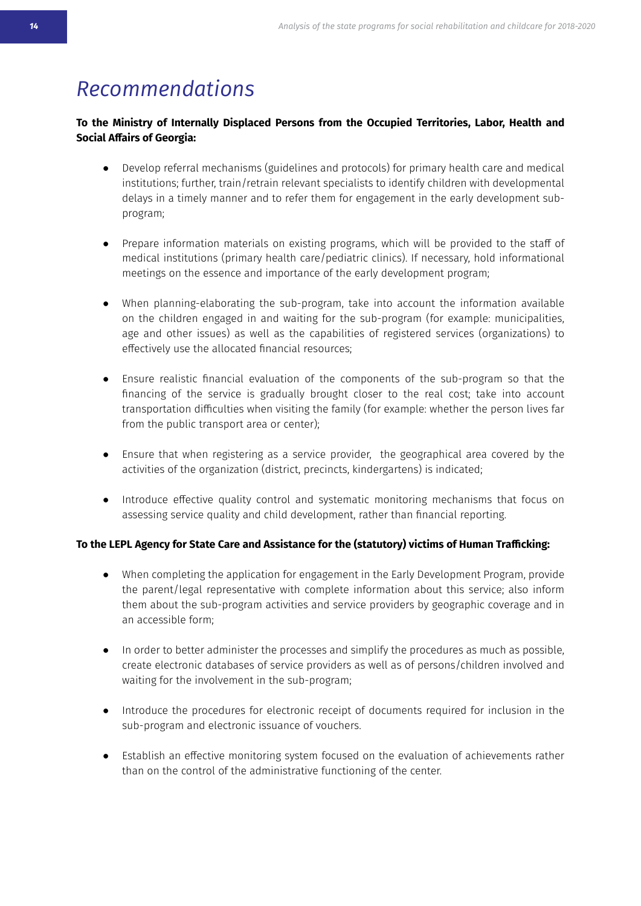### *<u>Recommendations</u>*

#### To the Ministry of Internally Displaced Persons from the Occupied Territories, Labor, Health and **Social Affairs of Georgia:**

- Develop referral mechanisms (guidelines and protocols) for primary health care and medical institutions; further, train/retrain relevant specialists to identify children with developmental delays in a timely manner and to refer them for engagement in the early development subprogram;
- Prepare information materials on existing programs, which will be provided to the staff of medical institutions (primary health care/pediatric clinics). If necessary, hold informational meetings on the essence and importance of the early development program;
- When planning-elaborating the sub-program, take into account the information available on the children engaged in and waiting for the sub-program (for example: municipalities, age and other issues) as well as the capabilities of registered services (organizations) to effectively use the allocated financial resources;
- Ensure realistic financial evaluation of the components of the sub-program so that the financing of the service is gradually brought closer to the real cost; take into account transportation difficulties when visiting the family (for example: whether the person lives far from the public transport area or center);
- Ensure that when registering as a service provider, the geographical area covered by the activities of the organization (district, precincts, kindergartens) is indicated;
- Introduce effective quality control and systematic monitoring mechanisms that focus on assessing service quality and child development, rather than financial reporting.

#### To the LEPL Agency for State Care and Assistance for the (statutory) victims of Human Trafficking:

- When completing the application for engagement in the Early Development Program, provide the parent/legal representative with complete information about this service; also inform them about the sub-program activities and service providers by geographic coverage and in an accessible form:
- In order to better administer the processes and simplify the procedures as much as possible, create electronic databases of service providers as well as of persons/children involved and waiting for the involvement in the sub-program;
- Introduce the procedures for electronic receipt of documents required for inclusion in the sub-program and electronic issuance of vouchers.
- Establish an effective monitoring system focused on the evaluation of achievements rather than on the control of the administrative functioning of the center.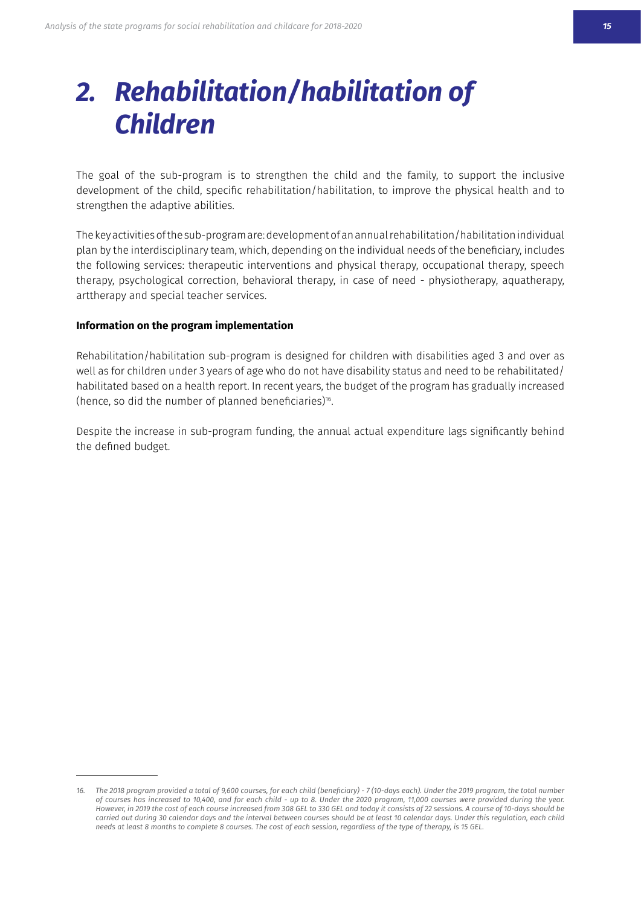# <span id="page-13-0"></span>*2. Rehabilitation/habilitation of Children*

The goal of the sub-program is to strengthen the child and the family, to support the inclusive development of the child, specific rehabilitation/habilitation, to improve the physical health and to strengthen the adaptive abilities.

The key activities of the sub-program are: development of an annual rehabilitation / habilitation individual plan by the interdisciplinary team, which, depending on the individual needs of the beneficiary, includes the following services: therapeutic interventions and physical therapy, occupational therapy, speech therapy, psychological correction, behavioral therapy, in case of need - physiotherapy, aquatherapy, art therapy and special teacher services.

#### **Information on the program implementation**

Rehabilitation/habilitation sub-program is designed for children with disabilities aged 3 and over as well as for children under 3 years of age who do not have disability status and need to be rehabilitated/ habilitated based on a health report. In recent years, the budget of the program has gradually increased (hence, so did the number of planned beneficiaries)<sup>16</sup>.

Despite the increase in sub-program funding, the annual actual expenditure lags significantly behind the defined budget.

<sup>16.</sup> The 2018 program provided a total of 9,600 courses, for each child (beneficiary) - 7 (10-days each). Under the 2019 program, the total number of courses has increased to 10,400, and for each child - up to 8. Under the 2020 program, 11,000 courses were provided during the year. However, in 2019 the cost of each course increased from 308 GEL to 330 GEL and today it consists of 22 sessions. A course of 10-days should be carried out during 30 calendar days and the interval between courses should be at least 10 calendar days. Under this regulation, each child needs at least 8 months to complete 8 courses. The cost of each session, regardless of the type of therapy, is 15 GEL.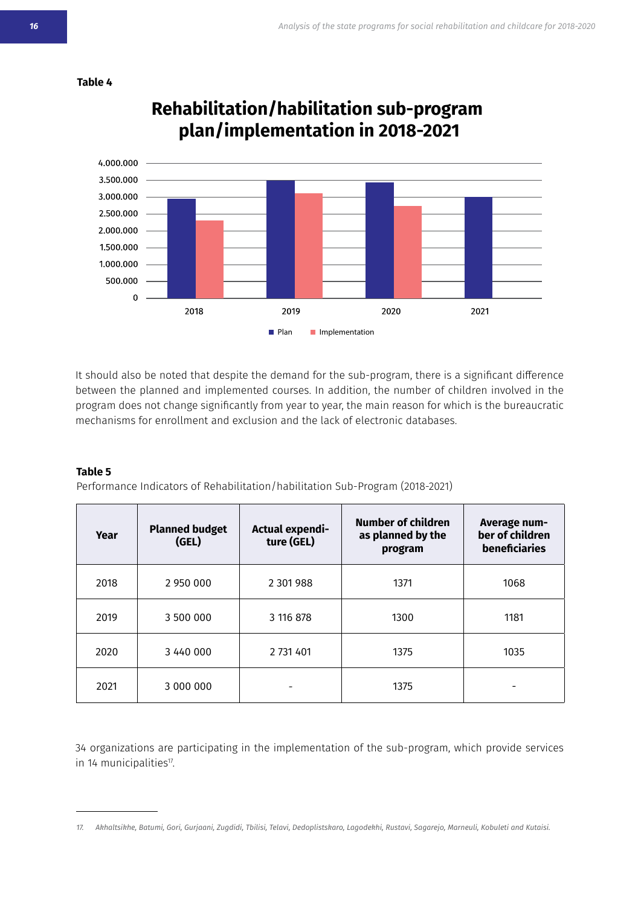

#### **Table 4**

**Rehabilitation/habilitation sub-program plan/implementation in 2018-2021**

It should also be noted that despite the demand for the sub-program, there is a significant difference between the planned and implemented courses. In addition, the number of children involved in the program does not change significantly from year to year, the main reason for which is the bureaucratic mechanisms for enrollment and exclusion and the lack of electronic databases.

#### **Table 5**

Performance Indicators of Rehabilitation/habilitation Sub-Program (2018-2021)

| Year | <b>Planned budget</b><br>(GEL) | Actual expendi-<br>ture (GEL) | Number of children<br>as planned by the<br>program | Average num-<br>ber of children<br>beneficiaries |
|------|--------------------------------|-------------------------------|----------------------------------------------------|--------------------------------------------------|
| 2018 | 2 950 000                      | 2 301 988                     | 1371                                               | 1068                                             |
| 2019 | 3 500 000                      | 3 116 878                     | 1300                                               | 1181                                             |
| 2020 | 3 440 000                      | 2 731 401                     | 1375                                               | 1035                                             |
| 2021 | 3 000 000                      |                               | 1375                                               |                                                  |

34 organizations are participating in the implementation of the sub-program, which provide services in 14 municipalities<sup>17</sup>.

<sup>17.</sup> Akhaltsikhe, Batumi, Gori, Gurjaani, Zugdidi, Tbilisi, Telavi, Dedoplistskaro, Lagodekhi, Rustavi, Sagarejo, Marneuli, Kobuleti and Kutaisi.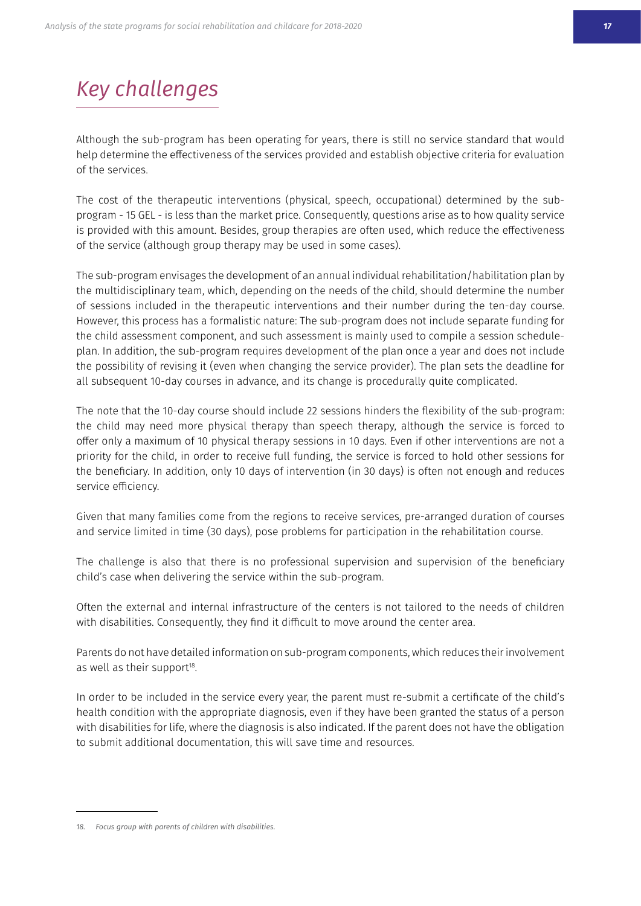# *Key challenges*

Although the sub-program has been operating for years, there is still no service standard that would help determine the effectiveness of the services provided and establish objective criteria for evaluation of the services.

The cost of the therapeutic interventions (physical, speech, occupational) determined by the subprogram - 15 GEL - is less than the market price. Consequently, questions arise as to how quality service is provided with this amount. Besides, group therapies are often used, which reduce the effectiveness of the service (although group therapy may be used in some cases).

The sub-program envisages the development of an annual individual rehabilitation/habilitation plan by the multidisciplinary team, which, depending on the needs of the child, should determine the number of sessions included in the therapeutic interventions and their number during the ten-day course. However, this process has a formalistic nature: The sub-program does not include separate funding for the child assessment component, and such assessment is mainly used to compile a session scheduleplan. In addition, the sub-program requires development of the plan once a year and does not include the possibility of revising it (even when changing the service provider). The plan sets the deadline for all subsequent 10-day courses in advance, and its change is procedurally quite complicated.

The note that the 10-day course should include 22 sessions hinders the flexibility of the sub-program: the child may need more physical therapy than speech therapy, although the service is forced to offer only a maximum of 10 physical therapy sessions in 10 days. Even if other interventions are not a priority for the child, in order to receive full funding, the service is forced to hold other sessions for the beneficiary. In addition, only 10 days of intervention (in 30 days) is often not enough and reduces service efficiency.

Given that many families come from the regions to receive services, pre-arranged duration of courses and service limited in time (30 days), pose problems for participation in the rehabilitation course.

The challenge is also that there is no professional supervision and supervision of the beneficiary child's case when delivering the service within the sub-program.

Often the external and internal infrastructure of the centers is not tailored to the needs of children with disabilities. Consequently, they find it difficult to move around the center area.

Parents do not have detailed information on sub-program components, which reduces their involvement as well as their support<sup>18</sup>.

In order to be included in the service every year, the parent must re-submit a certificate of the child's health condition with the appropriate diagnosis, even if they have been granted the status of a person with disabilities for life, where the diagnosis is also indicated. If the parent does not have the obligation to submit additional documentation, this will save time and resources.

<sup>18.</sup> Focus group with parents of children with disabilities.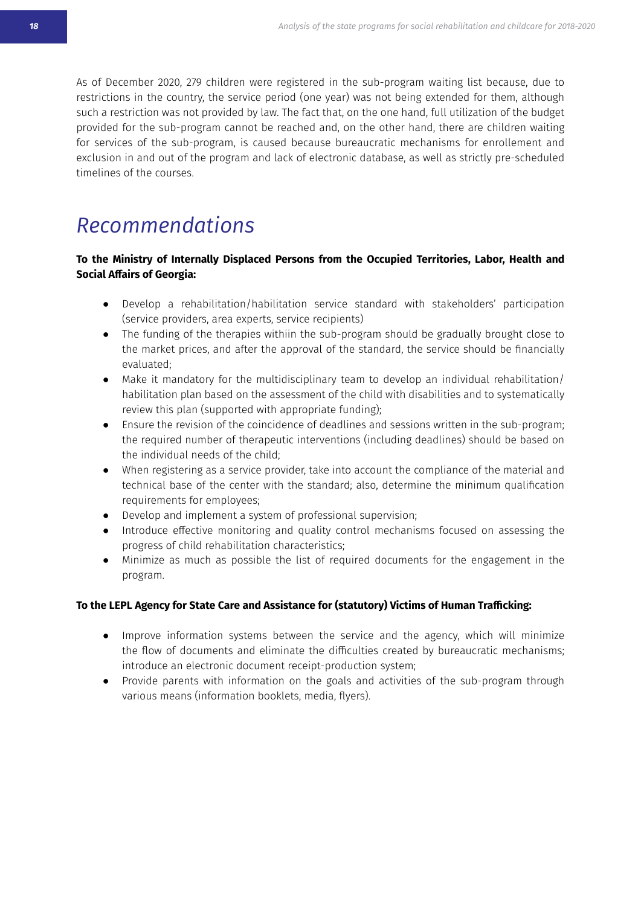As of December 2020, 279 children were registered in the sub-program waiting list because, due to restrictions in the country, the service period (one year) was not being extended for them, although such a restriction was not provided by law. The fact that, on the one hand, full utilization of the budget provided for the sub-program cannot be reached and, on the other hand, there are children waiting for services of the sub-program, is caused because bureaucratic mechanisms for enrollement and exclusion in and out of the program and lack of electronic database, as well as strictly pre-scheduled timelines of the courses.

### *Recommendations*

#### To the Ministry of Internally Displaced Persons from the Occupied Territories, Labor, Health and **Social Affairs of Georgia:**

- Develop a rehabilitation/habilitation service standard with stakeholders' participation (service providers, area experts, service recipients)
- The funding of the therapies withiin the sub-program should be gradually brought close to the market prices, and after the approval of the standard, the service should be financially evaluated:
- Make it mandatory for the multidisciplinary team to develop an individual rehabilitation/ habilitation plan based on the assessment of the child with disabilities and to systematically review this plan (supported with appropriate funding);
- Ensure the revision of the coincidence of deadlines and sessions written in the sub-program; the required number of therapeutic interventions (including deadlines) should be based on the individual needs of the child:
- When registering as a service provider, take into account the compliance of the material and technical base of the center with the standard; also, determine the minimum qualification requirements for employees;
- Develop and implement a system of professional supervision;
- Introduce effective monitoring and quality control mechanisms focused on assessing the progress of child rehabilitation characteristics;
- Minimize as much as possible the list of required documents for the engagement in the program.

#### To the LEPL Agency for State Care and Assistance for (statutory) Victims of Human Trafficking:

- Improve information systems between the service and the agency, which will minimize the flow of documents and eliminate the difficulties created by bureaucratic mechanisms; introduce an electronic document receipt-production system;
- Provide parents with information on the goals and activities of the sub-program through various means (information booklets, media, flyers).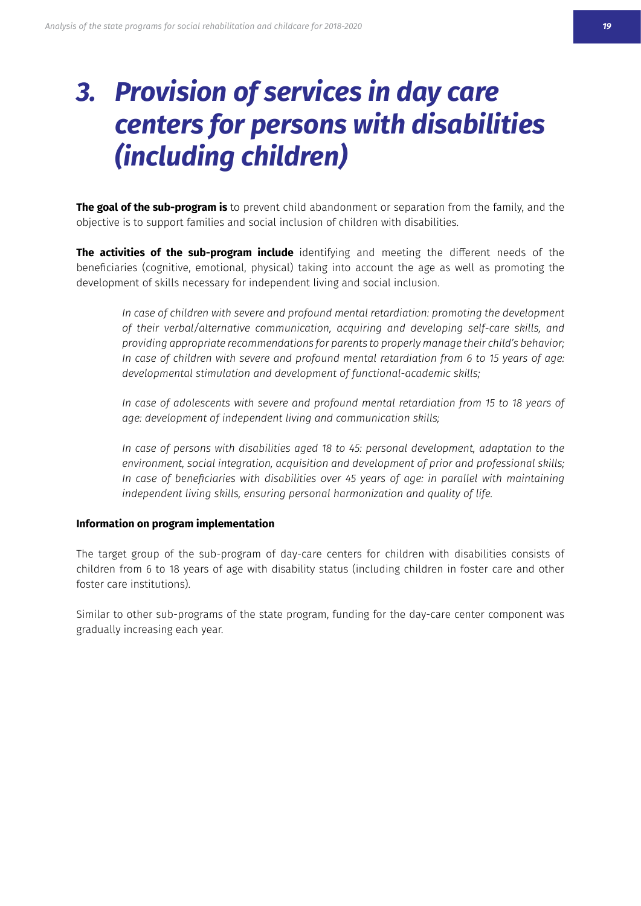# <span id="page-17-0"></span>*3. Provision of services in day care centers for persons with disabilities (including children)*

**The goal of the sub-program is** to prevent child abandonment or separation from the family, and the objective is to support families and social inclusion of children with disabilities.

**The activities of the sub-program include** identifying and meeting the different needs of the beneficiaries (cognitive, emotional, physical) taking into account the age as well as promoting the development of skills necessary for independent living and social inclusion.

*In case of children with severe and profound mental retardiation: promoting the development of their verbal/alternative communication, acquiring and developing self-care skills, and providing appropriate recommendations for parents to properly manage their child's behavior; In case of children with severe and profound mental retardiation from 6 to 15 years of age: developmental stimulation and development of functional-academic skills;*

In case of adolescents with severe and profound mental retardiation from 15 to 18 years of *age: development of independent living and communication skills;*

*In case of persons with disabilities aged 18 to 45: personal development, adaptation to the environment, social integration, acquisition and development of prior and professional skills;* In case of beneficiaries with disabilities over 45 years of age: in parallel with maintaining *independent living skills, ensuring personal harmonization and quality of life.*

#### **Information on program implementation**

The target group of the sub-program of day-care centers for children with disabilities consists of children from 6 to 18 years of age with disability status (including children in foster care and other foster care institutions).

Similar to other sub-programs of the state program, funding for the day-care center component was gradually increasing each year.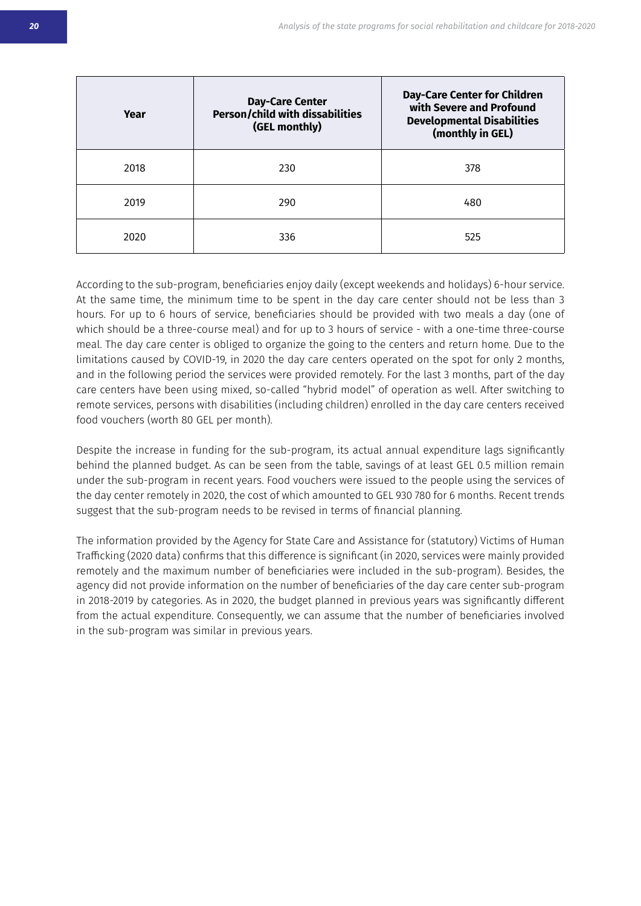| Year | <b>Day-Care Center</b><br><b>Person/child with dissabilities</b><br>(GEL monthly) | <b>Day-Care Center for Children</b><br>with Severe and Profound<br><b>Developmental Disabilities</b><br>(monthly in GEL) |
|------|-----------------------------------------------------------------------------------|--------------------------------------------------------------------------------------------------------------------------|
| 2018 | 230                                                                               | 378                                                                                                                      |
| 2019 | 290                                                                               | 480                                                                                                                      |
| 2020 | 336                                                                               | 525                                                                                                                      |

According to the sub-program, beneficiaries enjoy daily (except weekends and holidays) 6-hour service. At the same time, the minimum time to be spent in the day care center should not be less than 3 hours. For up to 6 hours of service, beneficiaries should be provided with two meals a day (one of which should be a three-course meal) and for up to 3 hours of service - with a one-time three-course meal. The day care center is obliged to organize the going to the centers and return home. Due to the limitations caused by COVID-19, in 2020 the day care centers operated on the spot for only 2 months, and in the following period the services were provided remotely. For the last 3 months, part of the day care centers have been using mixed, so-called "hybrid model" of operation as well. After switching to remote services, persons with disabilities (including children) enrolled in the day care centers received food vouchers (worth 80 GEL per month).

Despite the increase in funding for the sub-program, its actual annual expenditure lags significantly behind the planned budget. As can be seen from the table, savings of at least GEL 0.5 million remain under the sub-program in recent years. Food vouchers were issued to the people using the services of the day center remotely in 2020, the cost of which amounted to GEL 930 780 for 6 months. Recent trends suggest that the sub-program needs to be revised in terms of financial planning.

The information provided by the Agency for State Care and Assistance for (statutory) Victims of Human Trafficking (2020 data) confirms that this difference is significant (in 2020, services were mainly provided remotely and the maximum number of beneficiaries were included in the sub-program). Besides, the agency did not provide information on the number of beneficiaries of the day care center sub-program in 2018-2019 by categories. As in 2020, the budget planned in previous years was significantly different from the actual expenditure. Consequently, we can assume that the number of beneficiaries involved in the sub-program was similar in previous years.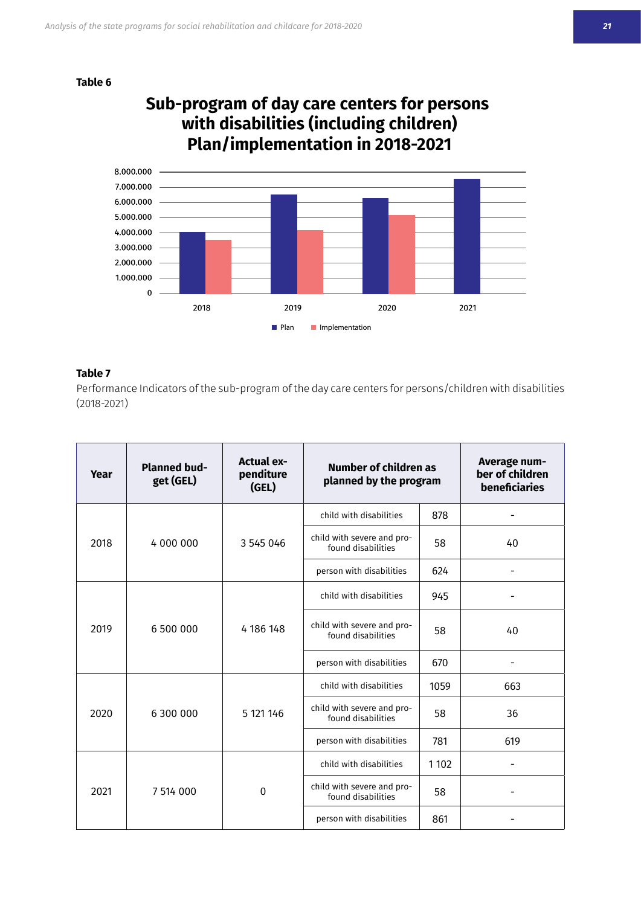**Table 6**





#### **Table 7**

Performance Indicators of the sub-program of the day care centers for persons/children with disabilities  $(2018 - 2021)$ 

| Year | <b>Planned bud-</b><br>get (GEL) | <b>Actual ex-</b><br>penditure<br>(GEL) | Number of children as<br>planned by the program        |         | Average num-<br>ber of children<br>beneficiaries |
|------|----------------------------------|-----------------------------------------|--------------------------------------------------------|---------|--------------------------------------------------|
|      |                                  |                                         | child with disabilities                                | 878     |                                                  |
| 2018 | 4 000 000                        | 3 545 046                               | child with severe and pro-<br>found disabilities       | 58      | 40                                               |
|      |                                  |                                         | person with disabilities                               | 624     |                                                  |
|      |                                  |                                         | child with disabilities                                |         |                                                  |
| 2019 | 6 500 000                        | 4 186 148                               | child with severe and pro-<br>found disabilities       | 58      | 40                                               |
|      |                                  |                                         | person with disabilities                               | 670     |                                                  |
|      |                                  |                                         | child with disabilities                                | 1059    | 663                                              |
| 2020 | 6 300 000                        | 5 121 146                               | child with severe and pro-<br>found disabilities       | 58      | 36                                               |
|      |                                  |                                         | person with disabilities                               | 781     | 619                                              |
|      | 7 514 000                        |                                         | child with disabilities                                | 1 1 0 2 |                                                  |
| 2021 |                                  | $\mathbf 0$                             | child with severe and pro-<br>58<br>found disabilities |         |                                                  |
|      |                                  |                                         | person with disabilities                               | 861     |                                                  |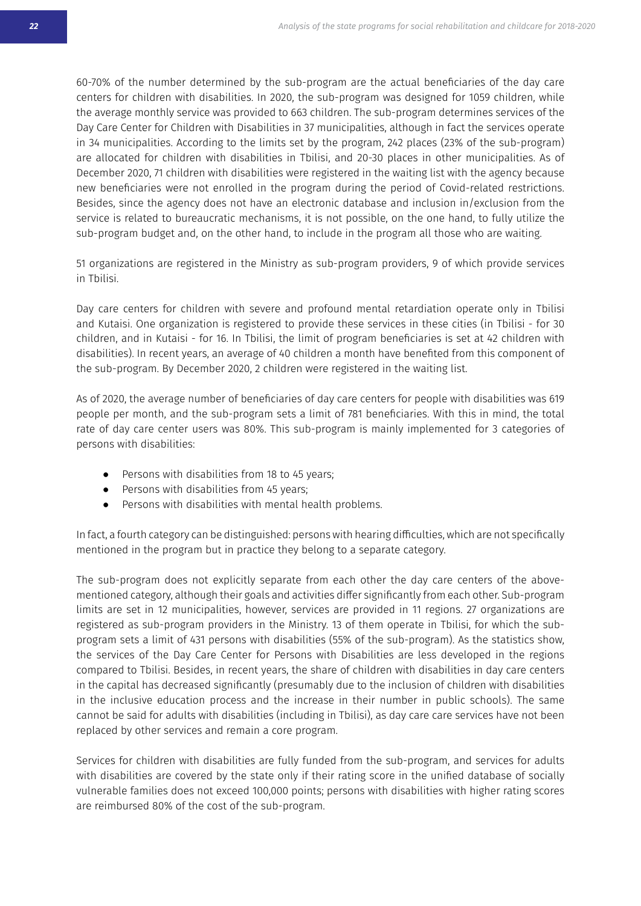60-70% of the number determined by the sub-program are the actual beneficiaries of the day care centers for children with disabilities. In 2020, the sub-program was designed for 1059 children, while the average monthly service was provided to 663 children. The sub-program determines services of the Day Care Center for Children with Disabilities in 37 municipalities, although in fact the services operate in 34 municipalities. According to the limits set by the program, 242 places (23% of the sub-program) are allocated for children with disabilities in Tbilisi, and 20-30 places in other municipalities. As of December 2020, 71 children with disabilities were registered in the waiting list with the agency because new beneficiaries were not enrolled in the program during the period of Covid-related restrictions. Besides, since the agency does not have an electronic database and inclusion in/exclusion from the service is related to bureaucratic mechanisms, it is not possible, on the one hand, to fully utilize the sub-program budget and, on the other hand, to include in the program all those who are waiting.

51 organizations are registered in the Ministry as sub-program providers, 9 of which provide services in Tbilisi.

Day care centers for children with severe and profound mental retardiation operate only in Tbilisi and Kutaisi. One organization is registered to provide these services in these cities (in Tbilisi - for 30 children, and in Kutaisi - for 16. In Tbilisi, the limit of program beneficiaries is set at 42 children with disabilities). In recent years, an average of 40 children a month have benefited from this component of the sub-program. By December 2020, 2 children were registered in the waiting list.

As of 2020, the average number of beneficiaries of day care centers for people with disabilities was 619 people per month, and the sub-program sets a limit of 781 beneficiaries. With this in mind, the total rate of day care center users was 80%. This sub-program is mainly implemented for 3 categories of persons with disabilities:

- Persons with disabilities from 18 to 45 years;
- Persons with disabilities from 45 years;
- Persons with disabilities with mental health problems.

In fact, a fourth category can be distinguished: persons with hearing difficulties, which are not specifically mentioned in the program but in practice they belong to a separate category.

The sub-program does not explicitly separate from each other the day care centers of the abovementioned category, although their goals and activities differ significantly from each other. Sub-program limits are set in 12 municipalities, however, services are provided in 11 regions. 27 organizations are registered as sub-program providers in the Ministry. 13 of them operate in Tbilisi, for which the subprogram sets a limit of 431 persons with disabilities (55% of the sub-program). As the statistics show, the services of the Day Care Center for Persons with Disabilities are less developed in the regions compared to Tbilisi. Besides, in recent vears, the share of children with disabilities in day care centers in the capital has decreased significantly (presumably due to the inclusion of children with disabilities in the inclusive education process and the increase in their number in public schools). The same cannot be said for adults with disabilities (including in Tbilisi), as day care care services have not been replaced by other services and remain a core program.

Services for children with disabilities are fully funded from the sub-program, and services for adults with disabilities are covered by the state only if their rating score in the unified database of socially vulnerable families does not exceed 100,000 points; persons with disabilities with higher rating scores are reimbursed 80% of the cost of the sub-program.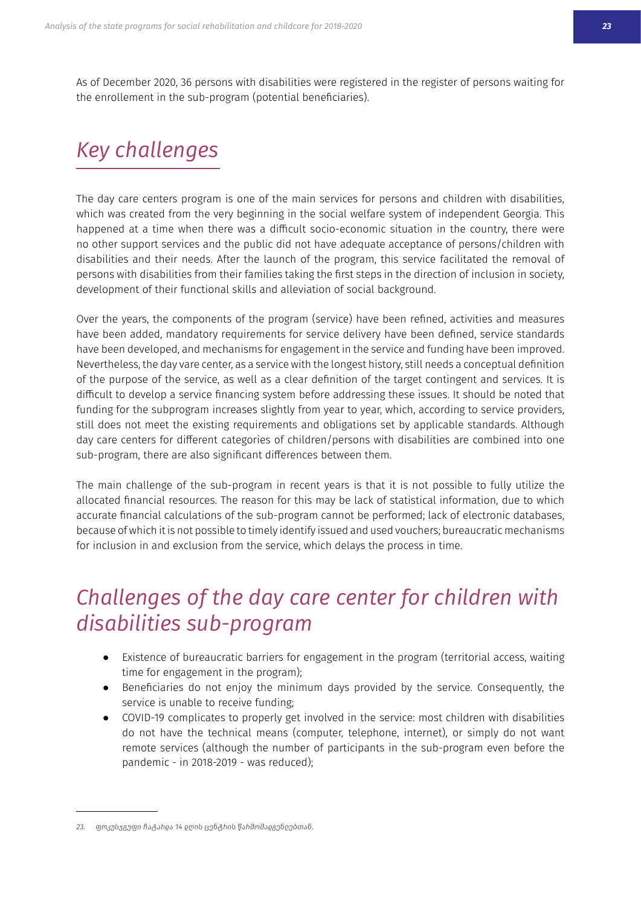As of December 2020, 36 persons with disabilities were registered in the register of persons waiting for the enrollement in the sub-program (potential beneficiaries).

# *Key challenges*

The day care centers program is one of the main services for persons and children with disabilities. which was created from the very beginning in the social welfare system of independent Georgia. This happened at a time when there was a difficult socio-economic situation in the country, there were no other support services and the public did not have adequate acceptance of persons/children with disabilities and their needs. After the launch of the program, this service facilitated the removal of persons with disabilities from their families taking the first steps in the direction of inclusion in society, development of their functional skills and alleviation of social background.

Over the years, the components of the program (service) have been refined, activities and measures have been added, mandatory requirements for service delivery have been defined, service standards have been developed, and mechanisms for engagement in the service and funding have been improved. Nevertheless, the day vare center, as a service with the longest history, still needs a conceptual definition of the purpose of the service, as well as a clear definition of the target contingent and services. It is difficult to develop a service financing system before addressing these issues. It should be noted that funding for the subprogram increases slightly from year to year, which, according to service providers, still does not meet the existing requirements and obligations set by applicable standards. Although day care centers for different categories of children/persons with disabilities are combined into one sub-program, there are also significant differences between them.

The main challenge of the sub-program in recent years is that it is not possible to fully utilize the allocated financial resources. The reason for this may be lack of statistical information, due to which accurate financial calculations of the sub-program cannot be performed; lack of electronic databases, because of which it is not possible to timely identify issued and used vouchers; bureaucratic mechanisms for inclusion in and exclusion from the service, which delays the process in time.

## *Challenges of the day care center for children with disabilities sub-program*

- Existence of bureaucratic barriers for engagement in the program (territorial access, waiting time for engagement in the program);
- Beneficiaries do not enjoy the minimum days provided by the service. Consequently, the service is unable to receive funding:
- COVID-19 complicates to properly get involved in the service: most children with disabilities do not have the technical means (computer, telephone, internet), or simply do not want remote services (although the number of participants in the sub-program even before the pandemic - in 2018-2019 - was reduced);

<sup>&</sup>lt;u>23. ფოკუსჯგუფი ჩატახდა 14 ღ</u>ღის ცენტხის წახმომა<u>დგ</u>ენღებთან.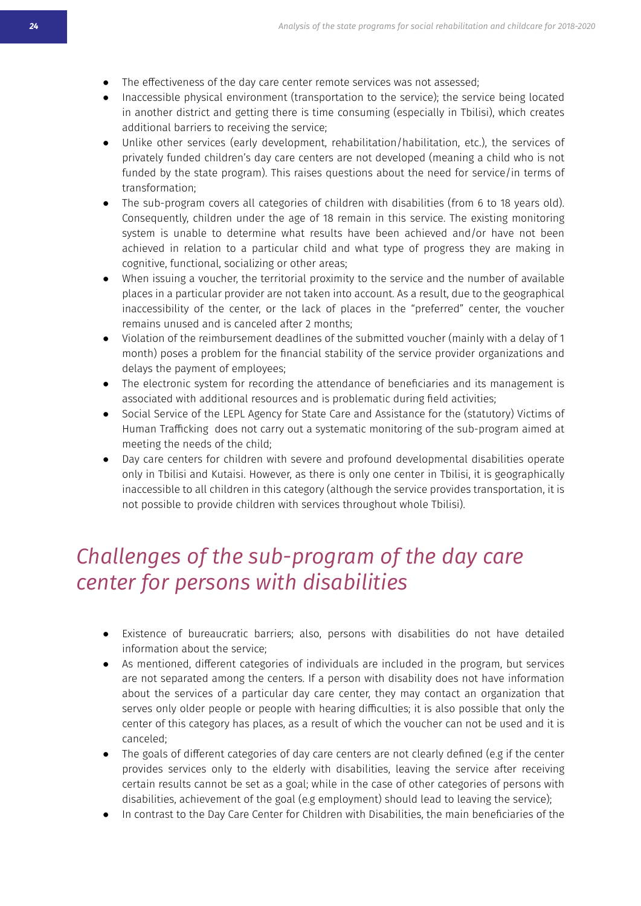- The effectiveness of the day care center remote services was not assessed;
- Inaccessible physical environment (transportation to the service); the service being located in another district and getting there is time consuming (especially in Tbilisi), which creates additional barriers to receiving the service;
- Unlike other services (early development, rehabilitation/habilitation, etc.), the services of privately funded children's day care centers are not developed (meaning a child who is not funded by the state program). This raises questions about the need for service/in terms of transformation:
- The sub-program covers all categories of children with disabilities (from 6 to 18 years old). Consequently, children under the age of 18 remain in this service. The existing monitoring system is unable to determine what results have been achieved and/or have not been achieved in relation to a particular child and what type of progress they are making in cognitive, functional, socializing or other areas;
- When issuing a voucher, the territorial proximity to the service and the number of available places in a particular provider are not taken into account. As a result, due to the geographical inaccessibility of the center, or the lack of places in the "preferred" center, the voucher remains unused and is canceled after 2 months;
- Violation of the reimbursement deadlines of the submitted voucher (mainly with a delay of 1 month) poses a problem for the financial stability of the service provider organizations and delays the payment of employees;
- The electronic system for recording the attendance of beneficiaries and its management is associated with additional resources and is problematic during field activities;
- Social Service of the LEPL Agency for State Care and Assistance for the (statutory) Victims of Human Trafficking does not carry out a systematic monitoring of the sub-program aimed at meeting the needs of the child;
- Day care centers for children with severe and profound developmental disabilities operate only in Tbilisi and Kutaisi. However, as there is only one center in Tbilisi, it is geographically inaccessible to all children in this category (although the service provides transportation, it is not possible to provide children with services throughout whole Tbilisi).

## *Challenges of the sub-program of the day care Ƈƥȫʍƥɰ-ǍȻɰ-ɦƥɰʀȻȫʀ-ˏǰʍǥ-ƒǰʀřŽǰȓǰʍǰƥʀ*

- Existence of bureaucratic barriers; also, persons with disabilities do not have detailed information about the service;
- As mentioned, different categories of individuals are included in the program, but services are not separated among the centers. If a person with disability does not have information about the services of a particular day care center, they may contact an organization that serves only older people or people with hearing difficulties; it is also possible that only the center of this category has places, as a result of which the voucher can not be used and it is canceled:
- The goals of different categories of day care centers are not clearly defined (e.g if the center provides services only to the elderly with disabilities, leaving the service after receiving certain results cannot be set as a goal; while in the case of other categories of persons with disabilities, achievement of the goal (e.g employment) should lead to leaving the service);
- In contrast to the Day Care Center for Children with Disabilities, the main beneficiaries of the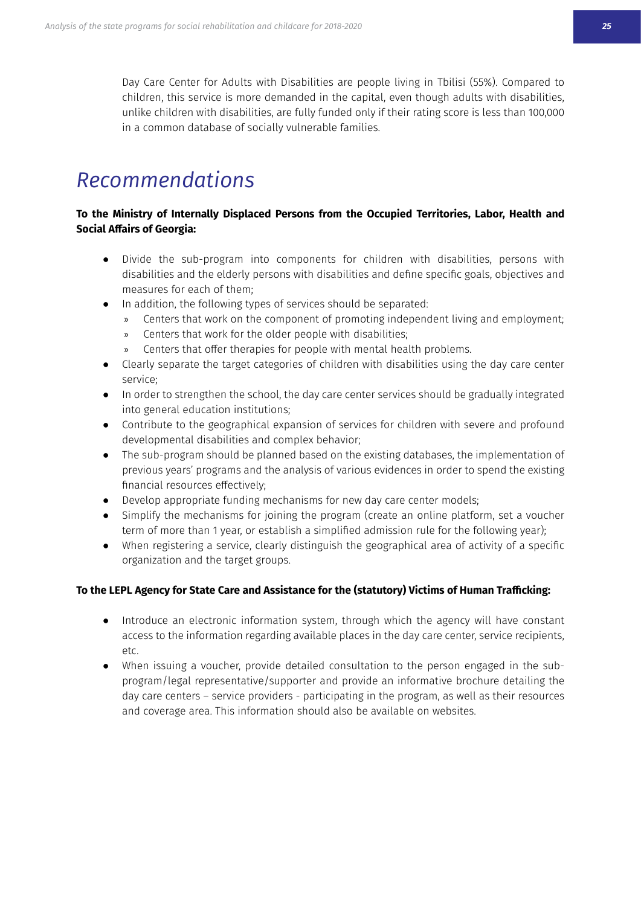Day Care Center for Adults with Disabilities are people living in Tbilisi (55%). Compared to children, this service is more demanded in the capital, even though adults with disabilities, unlike children with disabilities, are fully funded only if their rating score is less than 100,000 in a common database of socially vulnerable families.

### *<u>Recommendations</u>*

#### To the Ministry of Internally Displaced Persons from the Occupied Territories, Labor, Health and **Social Affairs of Georgia:**

- Divide the sub-program into components for children with disabilities, persons with disabilities and the elderly persons with disabilities and define specific goals, objectives and measures for each of them;
- In addition, the following types of services should be separated:
	- » Centers that work on the component of promoting independent living and employment;
	- » Centers that work for the older people with disabilities;
	- Centers that offer therapies for people with mental health problems.
- Clearly separate the target categories of children with disabilities using the day care center service;
- In order to strengthen the school, the day care center services should be gradually integrated into general education institutions;
- Contribute to the geographical expansion of services for children with severe and profound developmental disabilities and complex behavior;
- The sub-program should be planned based on the existing databases, the implementation of previous years' programs and the analysis of various evidences in order to spend the existing financial resources effectively:
- Develop appropriate funding mechanisms for new day care center models;
- Simplify the mechanisms for joining the program (create an online platform, set a voucher term of more than 1 year, or establish a simplified admission rule for the following year);
- When registering a service, clearly distinguish the geographical area of activity of a specific organization and the target groups.

#### To the LEPL Agency for State Care and Assistance for the (statutory) Victims of Human Trafficking:

- Introduce an electronic information system, through which the agency will have constant access to the information regarding available places in the day care center, service recipients, etς
- When issuing a voucher, provide detailed consultation to the person engaged in the subprogram/legal representative/supporter and provide an informative brochure detailing the day care centers – service providers - participating in the program, as well as their resources and coverage area. This information should also be available on websites.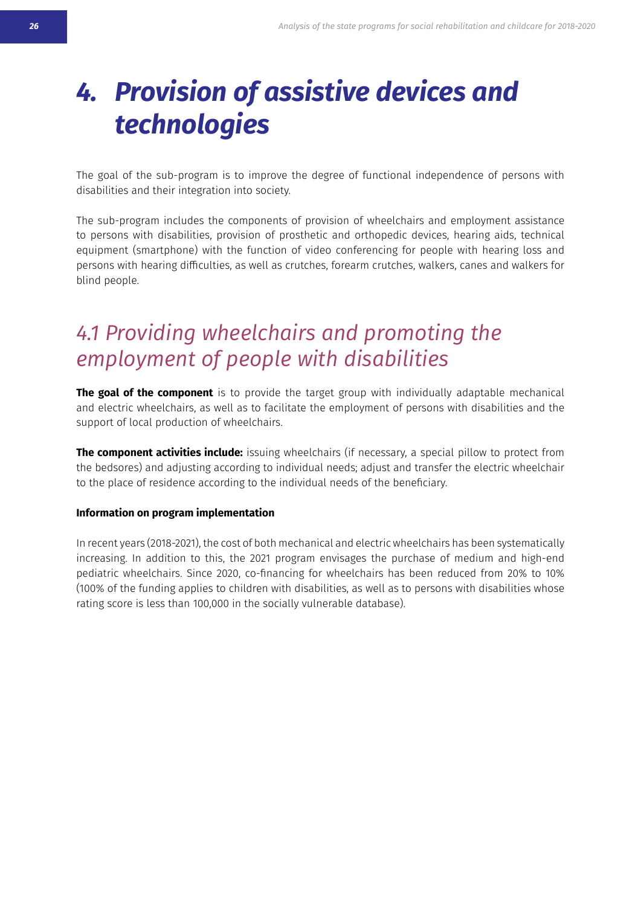# <span id="page-24-0"></span>*4. Provision of assistive devices and technologies*

The goal of the sub-program is to improve the degree of functional independence of persons with disabilities and their integration into society.

The sub-program includes the components of provision of wheelchairs and employment assistance to persons with disabilities, provision of prosthetic and orthopedic devices, hearing aids, technical equipment (smartphone) with the function of video conferencing for people with hearing loss and persons with hearing difficulties, as well as crutches, forearm crutches, walkers, canes and walkers for blind people.

## *ීැ-ÙɰȻˋǰƒǰȫǒ-ˏǥƥƥȓƇǥřǰɰʀ-řȫƒ-ɦɰȻȥȻʍǰȫǒ-ʍǥƥ ƥȥɦȓȻ˘ȥƥȫʍ-ȻǍ-ɦƥȻɦȓƥ-ˏǰʍǥ-ƒǰʀřŽǰȓǰʍǰƥʀ*

**The goal of the component** is to provide the target group with individually adaptable mechanical and electric wheelchairs, as well as to facilitate the employment of persons with disabilities and the support of local production of wheelchairs.

**The component activities include:** issuing wheelchairs (if necessary, a special pillow to protect from the bedsores) and adjusting according to individual needs; adjust and transfer the electric wheelchair to the place of residence according to the individual needs of the beneficiary.

#### **Information on program implementation**

In recent years (2018-2021), the cost of both mechanical and electric wheelchairs has been systematically increasing. In addition to this, the 2021 program envisages the purchase of medium and high-end pediatric wheelchairs. Since 2020, co-financing for wheelchairs has been reduced from 20% to 10% (100% of the funding applies to children with disabilities, as well as to persons with disabilities whose rating score is less than 100,000 in the socially vulnerable database).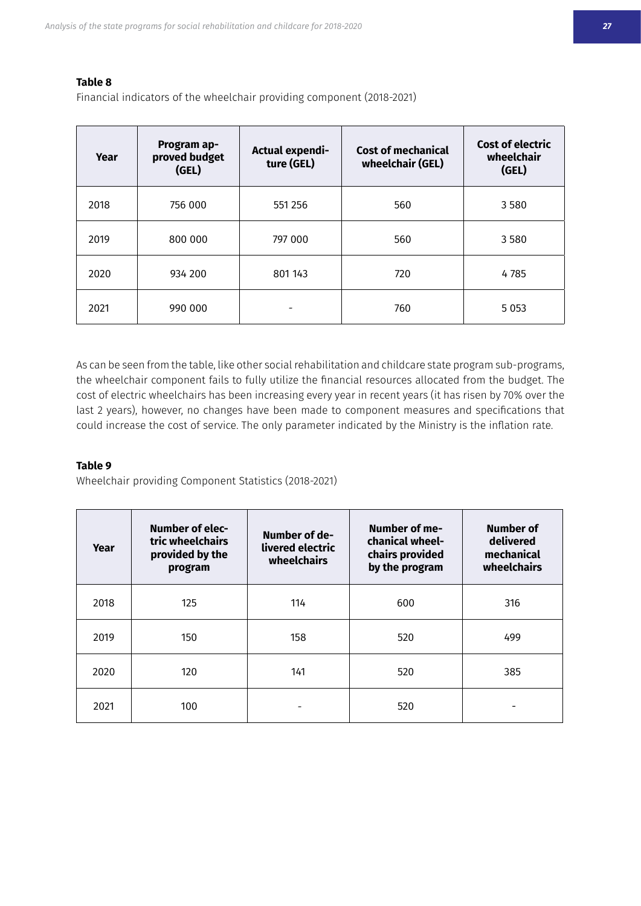#### **Table 8**

Financial indicators of the wheelchair providing component (2018-2021)

| Year | Program ap-<br>proved budget<br>(GEL) | Actual expendi-<br>ture (GEL) | <b>Cost of mechanical</b><br>wheelchair (GEL) | Cost of electric<br>wheelchair<br>(GEL) |
|------|---------------------------------------|-------------------------------|-----------------------------------------------|-----------------------------------------|
| 2018 | 756 000                               | 551 256                       | 560                                           | 3580                                    |
| 2019 | 800 000                               | 797 000                       | 560                                           | 3580                                    |
| 2020 | 934 200                               | 801 143                       | 720                                           | 4785                                    |
| 2021 | 990 000                               |                               | 760                                           | 5 0 5 3                                 |

As can be seen from the table, like other social rehabilitation and childcare state program sub-programs, the wheelchair component fails to fully utilize the financial resources allocated from the budget. The cost of electric wheelchairs has been increasing every year in recent years (it has risen by 70% over the last 2 years), however, no changes have been made to component measures and specifications that could increase the cost of service. The only parameter indicated by the Ministry is the inflation rate.

#### **Table 9**

Wheelchair providing Component Statistics (2018-2021)

| Year | <b>Number of elec-</b><br>tric wheelchairs<br>provided by the<br>program | Number of me-<br>Number of de-<br>chanical wheel-<br>livered electric<br>chairs provided<br>wheelchairs<br>by the program |     | Number of<br>delivered<br>mechanical<br>wheelchairs |
|------|--------------------------------------------------------------------------|---------------------------------------------------------------------------------------------------------------------------|-----|-----------------------------------------------------|
| 2018 | 125                                                                      | 114                                                                                                                       | 600 | 316                                                 |
| 2019 | 150                                                                      | 158                                                                                                                       | 520 | 499                                                 |
| 2020 | 120                                                                      | 141                                                                                                                       | 520 | 385                                                 |
| 2021 | 100                                                                      |                                                                                                                           | 520 |                                                     |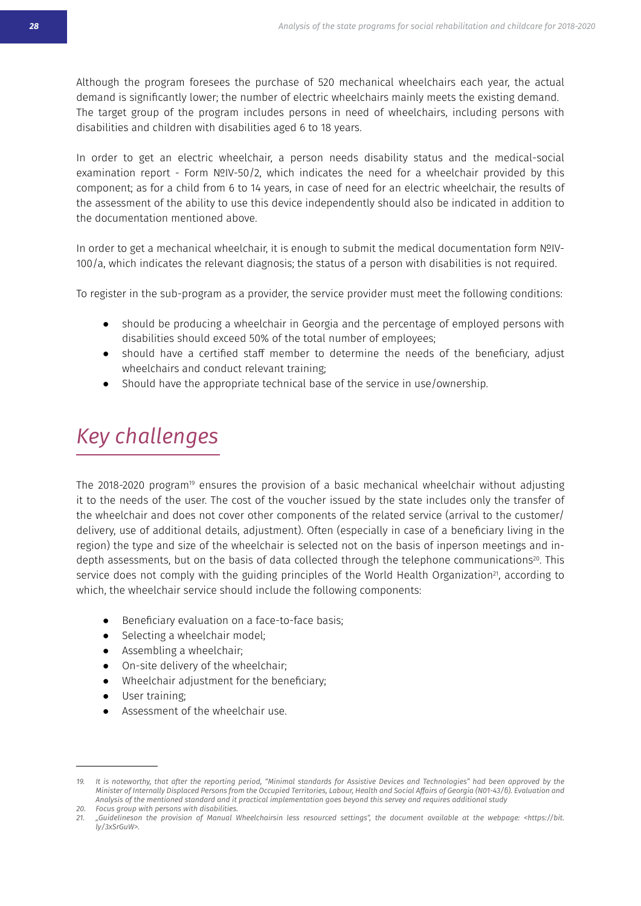Although the program foresees the purchase of 520 mechanical wheelchairs each year, the actual demand is significantly lower; the number of electric wheelchairs mainly meets the existing demand. The target group of the program includes persons in need of wheelchairs, including persons with disabilities and children with disabilities aged 6 to 18 years.

In order to get an electric wheelchair, a person needs disability status and the medical-social examination report - Form NºIV-50/2, which indicates the need for a wheelchair provided by this component; as for a child from 6 to 14 years, in case of need for an electric wheelchair, the results of the assessment of the ability to use this device independently should also be indicated in addition to the documentation mentioned above.

In order to get a mechanical wheelchair, it is enough to submit the medical documentation form NºIV-100/a, which indicates the relevant diagnosis; the status of a person with disabilities is not required.

To register in the sub-program as a provider, the service provider must meet the following conditions:

- should be producing a wheelchair in Georgia and the percentage of employed persons with disabilities should exceed 50% of the total number of employees:
- should have a certified staff member to determine the needs of the beneficiary, adjust wheelchairs and conduct relevant training;
- Should have the appropriate technical base of the service in use/ownership.

## *Key challenges*

The 2018-2020 program<sup>19</sup> ensures the provision of a basic mechanical wheelchair without adjusting it to the needs of the user. The cost of the voucher issued by the state includes only the transfer of the wheelchair and does not cover other components of the related service (arrival to the customer/ delivery, use of additional details, adjustment). Often (especially in case of a beneficiary living in the region) the type and size of the wheelchair is selected not on the basis of inperson meetings and indepth assessments, but on the basis of data collected through the telephone communications<sup>20</sup>. This service does not comply with the guiding principles of the World Health Organization<sup>21</sup>, according to which, the wheelchair service should include the following components:

- Beneficiary evaluation on a face-to-face basis;
- Selecting a wheelchair model;
- Assembling a wheelchair;
- On-site delivery of the wheelchair:
- Wheelchair adjustment for the beneficiary;
- User training;
- Assessment of the wheelchair use.

<sup>19.</sup> It is noteworthy, that after the reporting period, "Minimal standards for Assistive Devices and Technologies" had been approved by the Minister of Internally Displaced Persons from the Occupied Territories, Labour, Health and Social Affairs of Georgia (N01-43/6). Evaluation and Analysis of the mentioned standard and it practical implementation goes beyond this servey and requires additional study

<sup>20.</sup> Focus group with persons with disabilities.

<sup>21. &</sup>quot;Guidelineson the provision of Manual Wheelchairsin less resourced settings", the document available at the webpage: <https://bit.  $\bar{y}/3x$ SrGuW>.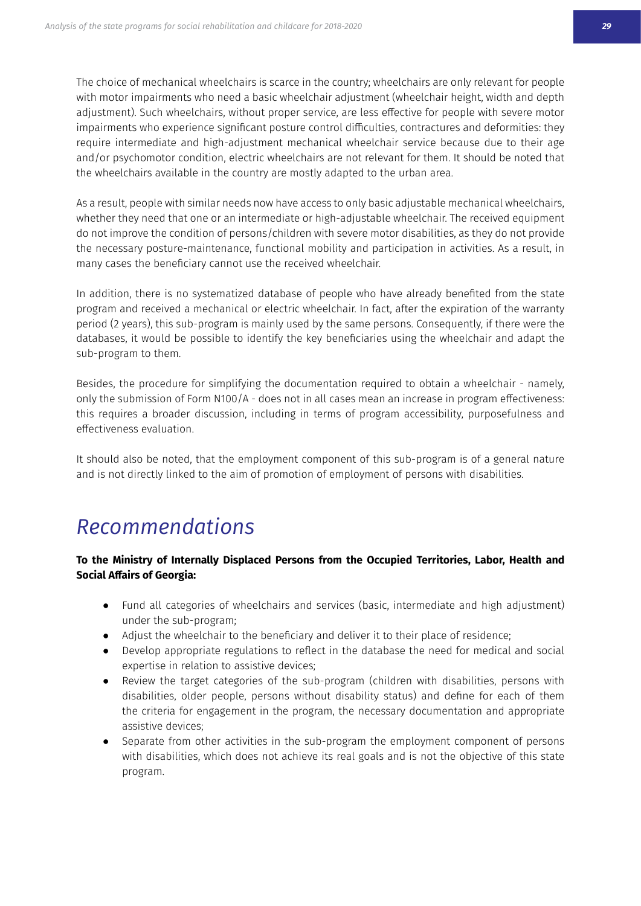The choice of mechanical wheelchairs is scarce in the country; wheelchairs are only relevant for people with motor impairments who need a basic wheelchair adjustment (wheelchair height, width and depth adjustment). Such wheelchairs, without proper service, are less effective for people with severe motor impairments who experience significant posture control difficulties, contractures and deformities: they require intermediate and high-adjustment mechanical wheelchair service because due to their age and/or psychomotor condition, electric wheelchairs are not relevant for them. It should be noted that the wheelchairs available in the country are mostly adapted to the urban area.

As a result, people with similar needs now have access to only basic adjustable mechanical wheelchairs, whether they need that one or an intermediate or high-adjustable wheelchair. The received equipment do not improve the condition of persons/children with severe motor disabilities, as they do not provide the necessary posture-maintenance, functional mobility and participation in activities. As a result, in many cases the beneficiary cannot use the received wheelchair.

In addition, there is no systematized database of people who have already benefited from the state program and received a mechanical or electric wheelchair. In fact, after the expiration of the warranty period (2 years), this sub-program is mainly used by the same persons. Consequently, if there were the databases, it would be possible to identify the key beneficiaries using the wheelchair and adapt the sub-program to them.

Besides, the procedure for simplifying the documentation required to obtain a wheelchair - namely. only the submission of Form N100/A - does not in all cases mean an increase in program effectiveness: this requires a broader discussion, including in terms of program accessibility, purposefulness and effectiveness evaluation.

It should also be noted, that the employment component of this sub-program is of a general nature and is not directly linked to the aim of promotion of employment of persons with disabilities.

### *<u>Recommendations</u>*

#### To the Ministry of Internally Displaced Persons from the Occupied Territories. Labor. Health and **Social Affairs of Georgia:**

- Fund all categories of wheelchairs and services (basic, intermediate and high adjustment) under the sub-program;
- Adjust the wheelchair to the beneficiary and deliver it to their place of residence;
- Develop appropriate regulations to reflect in the database the need for medical and social expertise in relation to assistive devices;
- Review the target categories of the sub-program (children with disabilities, persons with disabilities, older people, persons without disability status) and define for each of them the criteria for engagement in the program, the necessary documentation and appropriate assistive devices:
- Separate from other activities in the sub-program the employment component of persons with disabilities, which does not achieve its real goals and is not the objective of this state program.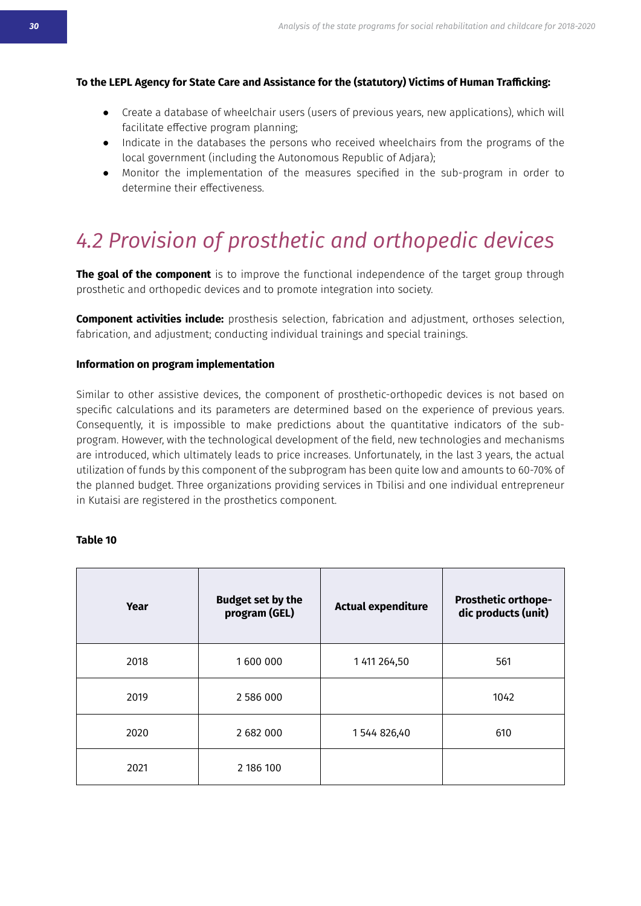#### <span id="page-28-0"></span>To the LEPL Agency for State Care and Assistance for the (statutory) Victims of Human Trafficking:

- Create a database of wheelchair users (users of previous years, new applications), which will facilitate effective program planning:
- Indicate in the databases the persons who received wheelchairs from the programs of the local government (including the Autonomous Republic of Adjara);
- Monitor the implementation of the measures specified in the sub-program in order to determine their effectiveness.

# *ීෑ-ÙɰȻˋǰʀǰȻȫ-ȻǍ-ɦɰȻʀʍǥƥʍǰƇ-řȫƒ-ȻɰʍǥȻɦƥƒǰƇ-ƒƥˋǰƇƥʀ*

**The goal of the component** is to improve the functional independence of the target group through prosthetic and orthopedic devices and to promote integration into society.

**Component activities include:** prosthesis selection, fabrication and adjustment, orthoses selection, fabrication, and adjustment; conducting individual trainings and special trainings.

#### **Information on program implementation**

Similar to other assistive devices, the component of prosthetic-orthopedic devices is not based on specific calculations and its parameters are determined based on the experience of previous years. Consequently, it is impossible to make predictions about the quantitative indicators of the subprogram. However, with the technological development of the field, new technologies and mechanisms are introduced, which ultimately leads to price increases. Unfortunately, in the last 3 years, the actual utilization of funds by this component of the subprogram has been quite low and amounts to 60-70% of the planned budget. Three organizations providing services in Tbilisi and one individual entrepreneur in Kutaisi are registered in the prosthetics component.

#### **Table 10**

| Year | <b>Budget set by the</b><br>program (GEL) | <b>Actual expenditure</b> | <b>Prosthetic orthope-</b><br>dic products (unit) |
|------|-------------------------------------------|---------------------------|---------------------------------------------------|
| 2018 | 1600 000                                  | 1 411 264,50              | 561                                               |
| 2019 | 2 586 000                                 |                           | 1042                                              |
| 2020 | 2 682 000                                 | 1544826,40                | 610                                               |
| 2021 | 2 186 100                                 |                           |                                                   |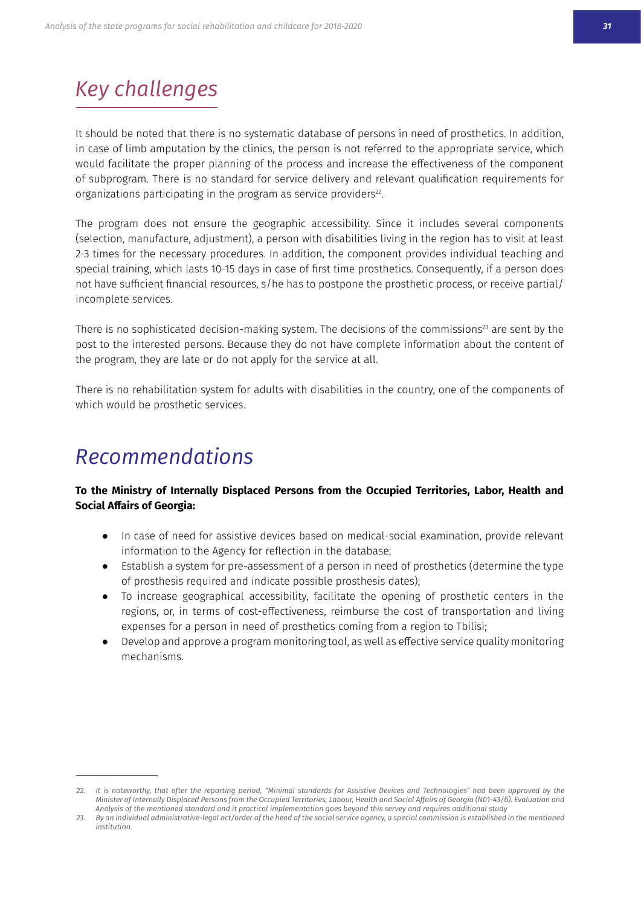## *Key challenges*

It should be noted that there is no systematic database of persons in need of prosthetics. In addition, in case of limb amputation by the clinics, the person is not referred to the appropriate service, which would facilitate the proper planning of the process and increase the effectiveness of the component of subprogram. There is no standard for service delivery and relevant qualification requirements for organizations participating in the program as service providers<sup>22</sup>.

The program does not ensure the geographic accessibility. Since it includes several components (selection, manufacture, adjustment), a person with disabilities living in the region has to visit at least 2-3 times for the necessary procedures. In addition, the component provides individual teaching and special training, which lasts 10-15 days in case of first time prosthetics. Consequently, if a person does not have sufficient financial resources, s/he has to postpone the prosthetic process, or receive partial/ incomplete services.

There is no sophisticated decision-making system. The decisions of the commissions<sup>23</sup> are sent by the post to the interested persons. Because they do not have complete information about the content of the program, they are late or do not apply for the service at all.

There is no rehabilitation system for adults with disabilities in the country, one of the components of which would be prosthetic services.

### *Recommendations*

#### To the Ministry of Internally Displaced Persons from the Occupied Territories, Labor, Health and **Social Affairs of Georgia:**

- In case of need for assistive devices based on medical-social examination, provide relevant information to the Agency for reflection in the database;
- Establish a system for pre-assessment of a person in need of prosthetics (determine the type of prosthesis required and indicate possible prosthesis dates);
- To increase geographical accessibility, facilitate the opening of prosthetic centers in the regions, or, in terms of cost-effectiveness, reimburse the cost of transportation and living expenses for a person in need of prosthetics coming from a region to Tbilisi;
- Develop and approve a program monitoring tool, as well as effective service quality monitoring mechanisms

<sup>22.</sup> It is noteworthy, that after the reporting period, "Minimal standards for Assistive Devices and Technologies" had been approved by the Minister of Internally Displaced Persons from the Occupied Territories, Labour, Health and Social Affairs of Georgia (N01-43/6). Evaluation and Analysis of the mentioned standard and it practical implementation goes beyond this servey and requires additional study

<sup>23.</sup> By an individual administrative-legal act/order of the head of the social service agency, a special commission is established in the mentioned *institution.*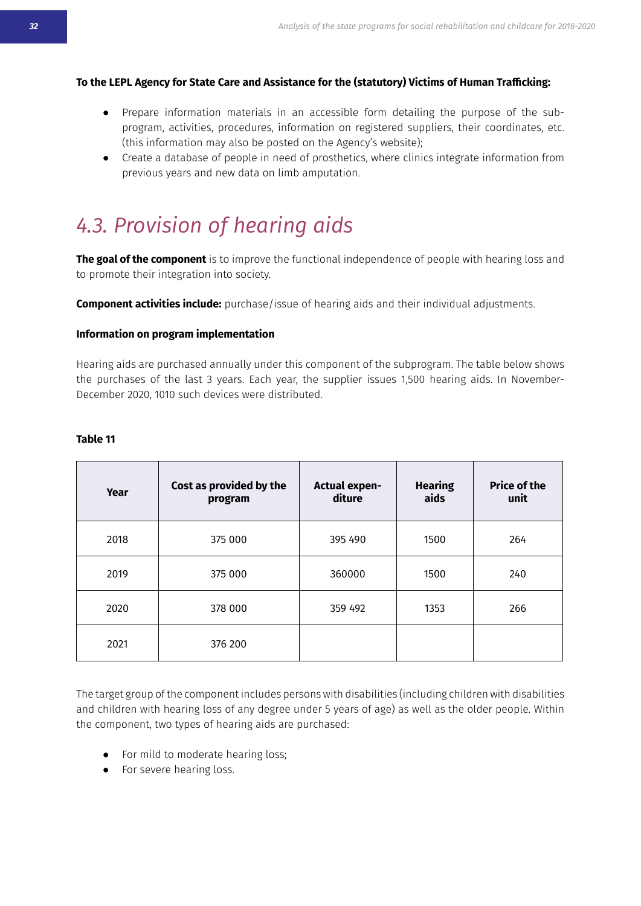#### <span id="page-30-0"></span>To the LEPL Agency for State Care and Assistance for the (statutory) Victims of Human Trafficking:

- Prepare information materials in an accessible form detailing the purpose of the subprogram, activities, procedures, information on registered suppliers, their coordinates, etc. (this information may also be posted on the Agency's website);
- Create a database of people in need of prosthetics, where clinics integrate information from previous years and new data on limb amputation.

## *ීි-ÙɰȻˋǰʀǰȻȫ-ȻǍ-ǥƥřɰǰȫǒ-řǰƒʀ*

**The goal of the component** is to improve the functional independence of people with hearing loss and to promote their integration into society.

**Component activities include:** purchase/issue of hearing aids and their individual adjustments.

#### **Information on program implementation**

Hearing aids are purchased annually under this component of the subprogram. The table below shows the purchases of the last 3 years. Each year, the supplier issues 1,500 hearing aids. In November-December 2020, 1010 such devices were distributed.

| Year | Cost as provided by the<br>program | <b>Actual expen-</b><br>diture | <b>Hearing</b><br>aids | <b>Price of the</b><br>unit |
|------|------------------------------------|--------------------------------|------------------------|-----------------------------|
| 2018 | 375 000                            | 395 490                        | 1500                   | 264                         |
| 2019 | 375 000                            | 360000                         | 1500                   | 240                         |
| 2020 | 378 000                            | 359 492                        | 1353                   | 266                         |
| 2021 | 376 200                            |                                |                        |                             |

#### **Table 11**

The target group of the component includes persons with disabilities (including children with disabilities and children with hearing loss of any degree under 5 years of age) as well as the older people. Within the component, two types of hearing aids are purchased:

- For mild to moderate hearing loss;
- For severe hearing loss.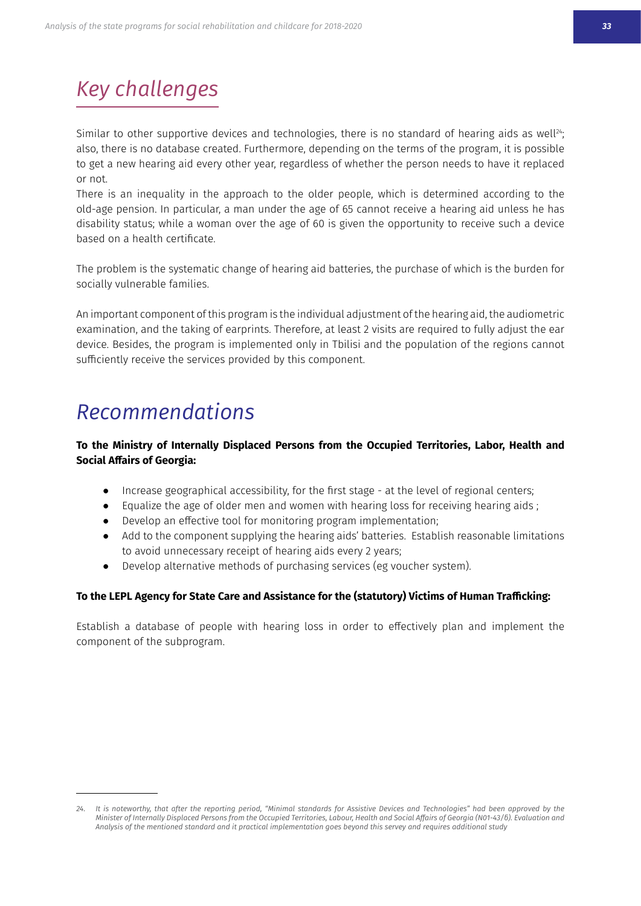# *Key challenges*

Similar to other supportive devices and technologies, there is no standard of hearing aids as well<sup>24</sup>; also, there is no database created. Furthermore, depending on the terms of the program, it is possible to get a new hearing aid every other year, regardless of whether the person needs to have it replaced or not.

There is an inequality in the approach to the older people, which is determined according to the old-age pension. In particular, a man under the age of 65 cannot receive a hearing aid unless he has disability status; while a woman over the age of 60 is given the opportunity to receive such a device based on a health certificate.

The problem is the systematic change of hearing aid batteries, the purchase of which is the burden for socially vulnerable families.

An important component of this program is the individual adiustment of the hearing aid, the audiometric examination, and the taking of earprints. Therefore, at least 2 visits are required to fully adjust the ear device. Besides, the program is implemented only in Tbilisi and the population of the regions cannot sufficiently receive the services provided by this component.

### *Recommendations*

#### To the Ministry of Internally Displaced Persons from the Occupied Territories, Labor, Health and **Social Affairs of Georgia:**

- Increase geographical accessibility, for the first stage at the level of regional centers;
- Equalize the age of older men and women with hearing loss for receiving hearing aids;
- Develop an effective tool for monitoring program implementation;
- Add to the component supplying the hearing aids' batteries. Establish reasonable limitations to avoid unnecessary receipt of hearing aids every 2 years;
- Develop alternative methods of purchasing services (eg voucher system).

#### To the LEPL Agency for State Care and Assistance for the (statutory) Victims of Human Trafficking:

Establish a database of people with hearing loss in order to effectively plan and implement the component of the subprogram.

<sup>24.</sup> It is noteworthy, that after the reporting period, "Minimal standards for Assistive Devices and Technologies" had been approved by the Minister of Internally Displaced Persons from the Occupied Territories, Labour, Health and Social Affairs of Georgia (N01-43/6). Evaluation and Analysis of the mentioned standard and it practical implementation goes beyond this servey and requires additional study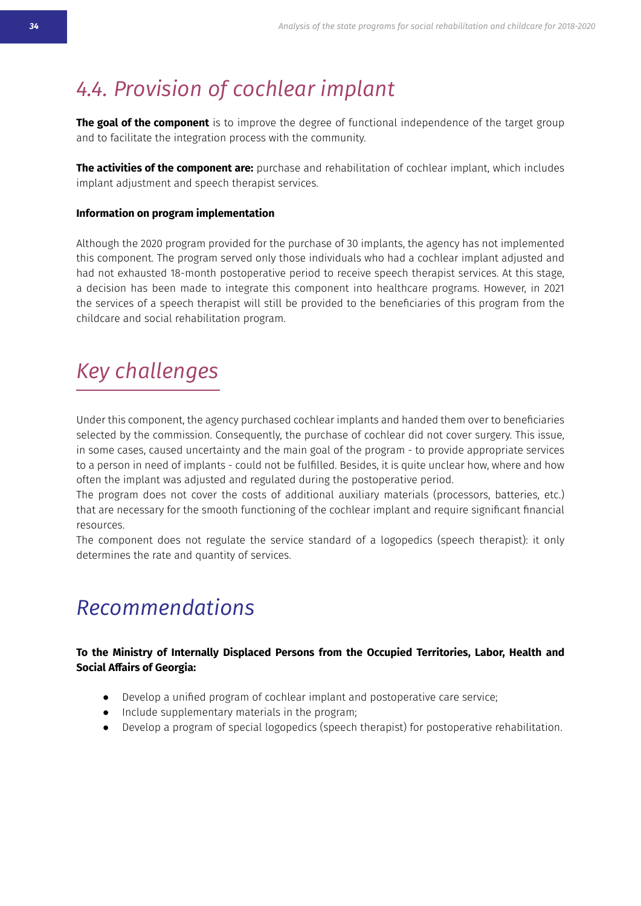## <span id="page-32-0"></span>**⁄4.4. Provision of cochlear implant**

**The goal of the component** is to improve the degree of functional independence of the target group and to facilitate the integration process with the community.

**The activities of the component are:** purchase and rehabilitation of cochlear implant, which includes implant adjustment and speech therapist services.

#### **Information on program implementation**

Although the 2020 program provided for the purchase of 30 implants, the agency has not implemented this component. The program served only those individuals who had a cochlear implant adjusted and had not exhausted 18-month postoperative period to receive speech therapist services. At this stage, a decision has been made to integrate this component into healthcare programs. However, in 2021 the services of a speech therapist will still be provided to the beneficiaries of this program from the childcare and social rehabilitation program.

## *Key challenges*

Under this component, the agency purchased cochlear implants and handed them over to beneficiaries selected by the commission. Consequently, the purchase of cochlear did not cover surgery. This issue, in some cases, caused uncertainty and the main goal of the program - to provide appropriate services to a person in need of implants - could not be fulfilled. Besides, it is quite unclear how, where and how often the implant was adjusted and regulated during the postoperative period.

The program does not cover the costs of additional auxiliary materials (processors, batteries, etc.) that are necessary for the smooth functioning of the cochlear implant and require significant financial resources.

The component does not regulate the service standard of a logopedics (speech therapist): it only determines the rate and quantity of services.

### *<u>Recommendations</u>*

#### To the Ministry of Internally Displaced Persons from the Occupied Territories, Labor, Health and **Social Affairs of Georgia:**

- Develop a unified program of cochlear implant and postoperative care service;
- Include supplementary materials in the program;
- Develop a program of special logopedics (speech therapist) for postoperative rehabilitation.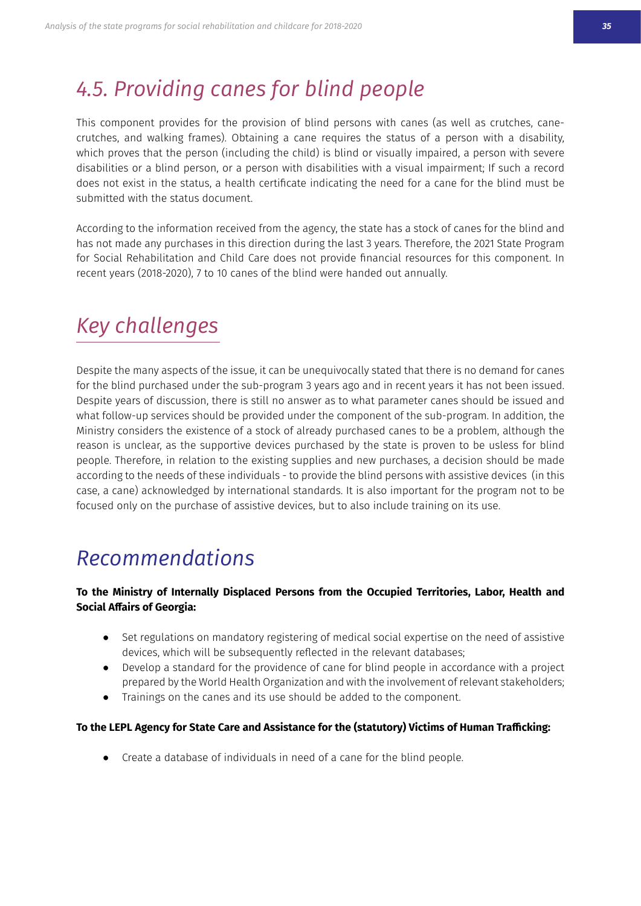### <span id="page-33-0"></span>**⁄4.5. Providing canes for blind people**

This component provides for the provision of blind persons with canes (as well as crutches, canecrutches, and walking frames). Obtaining a cane requires the status of a person with a disability. which proves that the person (including the child) is blind or visually impaired, a person with severe disabilities or a blind person, or a person with disabilities with a visual impairment; If such a record does not exist in the status, a health certificate indicating the need for a cane for the blind must be submitted with the status document

According to the information received from the agency, the state has a stock of canes for the blind and has not made any purchases in this direction during the last 3 years. Therefore, the 2021 State Program for Social Rehabilitation and Child Care does not provide financial resources for this component. In recent years (2018-2020), 7 to 10 canes of the blind were handed out annually.

### *Key challenges*

Despite the many aspects of the issue, it can be unequivocally stated that there is no demand for canes for the blind purchased under the sub-program 3 years ago and in recent years it has not been issued. Despite years of discussion, there is still no answer as to what parameter canes should be issued and what follow-up services should be provided under the component of the sub-program. In addition, the Ministry considers the existence of a stock of already purchased canes to be a problem, although the reason is unclear, as the supportive devices purchased by the state is proven to be usless for blind people. Therefore, in relation to the existing supplies and new purchases, a decision should be made according to the needs of these individuals - to provide the blind persons with assistive devices (in this case, a cane) acknowledged by international standards. It is also important for the program not to be focused only on the purchase of assistive devices, but to also include training on its use.

### *Recommendations*

#### To the Ministry of Internally Displaced Persons from the Occupied Territories, Labor, Health and **Social Affairs of Georgia:**

- Set regulations on mandatory registering of medical social expertise on the need of assistive devices, which will be subsequently reflected in the relevant databases;
- Develop a standard for the providence of cane for blind people in accordance with a project prepared by the World Health Organization and with the involvement of relevant stakeholders;
- Trainings on the canes and its use should be added to the component.

#### To the LEPL Agency for State Care and Assistance for the (statutory) Victims of Human Trafficking:

• Create a database of individuals in need of a cane for the blind people.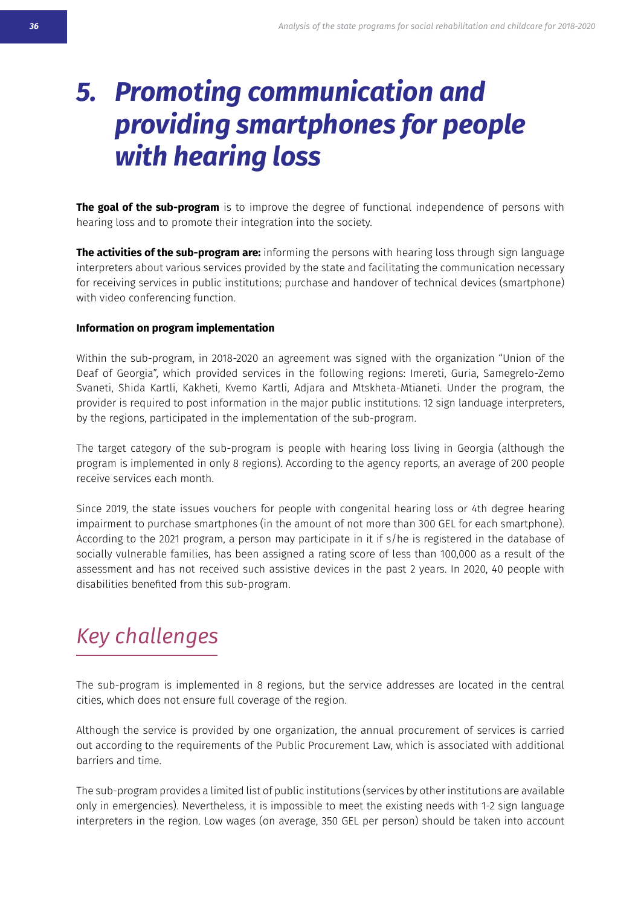# <span id="page-34-0"></span>*5. Promoting communication and providing smartphones for people with hearing loss*

**The goal of the sub-program** is to improve the degree of functional independence of persons with hearing loss and to promote their integration into the society.

**The activities of the sub-program are:** informing the persons with hearing loss through sign language interpreters about various services provided by the state and facilitating the communication necessary for receiving services in public institutions; purchase and handover of technical devices (smartphone) with video conferencing function.

#### **Information on program implementation**

Within the sub-program, in 2018-2020 an agreement was signed with the organization "Union of the Deaf of Georgia", which provided services in the following regions: Imereti, Guria, Samegrelo-Zemo Svaneti, Shida Kartli, Kakheti, Kvemo Kartli, Adjara and Mtskheta-Mtianeti. Under the program, the provider is required to post information in the major public institutions. 12 sign landuage interpreters, by the regions, participated in the implementation of the sub-program.

The target category of the sub-program is people with hearing loss living in Georgia (although the program is implemented in only 8 regions). According to the agency reports, an average of 200 people receive services each month.

Since 2019, the state issues vouchers for people with congenital hearing loss or 4th degree hearing impairment to purchase smartphones (in the amount of not more than 300 GEL for each smartphone). According to the 2021 program, a person may participate in it if s/he is registered in the database of socially vulnerable families, has been assigned a rating score of less than 100,000 as a result of the assessment and has not received such assistive devices in the past 2 years. In 2020, 40 people with disabilities benefited from this sub-program.

# *Key challenges*

The sub-program is implemented in 8 regions, but the service addresses are located in the central cities, which does not ensure full coverage of the region.

Although the service is provided by one organization, the annual procurement of services is carried out according to the requirements of the Public Procurement Law, which is associated with additional barriers and time.

The sub-program provides a limited list of public institutions (services by other institutions are available only in emergencies). Nevertheless, it is impossible to meet the existing needs with 1-2 sign language interpreters in the region. Low wages (on average, 350 GEL per person) should be taken into account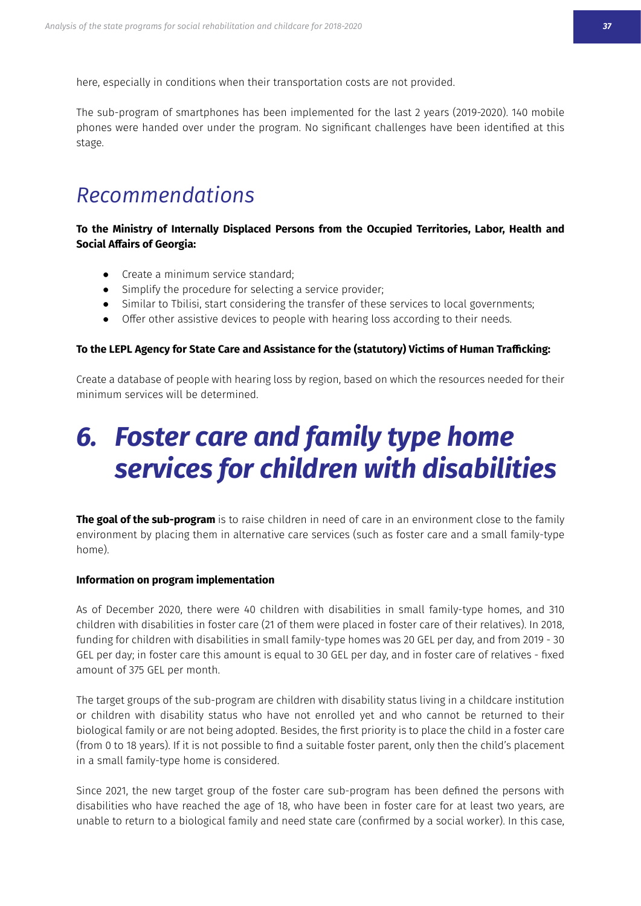<span id="page-35-0"></span>here, especially in conditions when their transportation costs are not provided.

The sub-program of smartphones has been implemented for the last 2 years (2019-2020). 140 mobile phones were handed over under the program. No significant challenges have been identified at this stage.

### *Recommendations*

To the Ministry of Internally Displaced Persons from the Occupied Territories, Labor, Health and **Social Affairs of Georgia:** 

- Create a minimum service standard:
- Simplify the procedure for selecting a service provider;
- Similar to Tbilisi, start considering the transfer of these services to local governments;
- Offer other assistive devices to people with hearing loss according to their needs.

#### To the LEPL Agency for State Care and Assistance for the (statutory) Victims of Human Trafficking:

Create a database of people with hearing loss by region, based on which the resources needed for their minimum services will be determined.

# *6. Foster care and family type home services for children with disabilities*

The goal of the sub-program is to raise children in need of care in an environment close to the family environment by placing them in alternative care services (such as foster care and a small family-type home).

#### **Information on program implementation**

As of December 2020, there were 40 children with disabilities in small family-type homes, and 310 children with disabilities in foster care (21 of them were placed in foster care of their relatives). In 2018, funding for children with disabilities in small family-type homes was 20 GEL per day, and from 2019 - 30 GEL per day; in foster care this amount is equal to 30 GEL per day, and in foster care of relatives - fixed amount of 375 GEL per month.

The target groups of the sub-program are children with disability status living in a childcare institution or children with disability status who have not enrolled vet and who cannot be returned to their biological family or are not being adopted. Besides, the first priority is to place the child in a foster care (from 0 to 18 years). If it is not possible to find a suitable foster parent, only then the child's placement in a small family-type home is considered.

Since 2021, the new target group of the foster care sub-program has been defined the persons with disabilities who have reached the age of 18, who have been in foster care for at least two years, are unable to return to a biological family and need state care (confirmed by a social worker). In this case,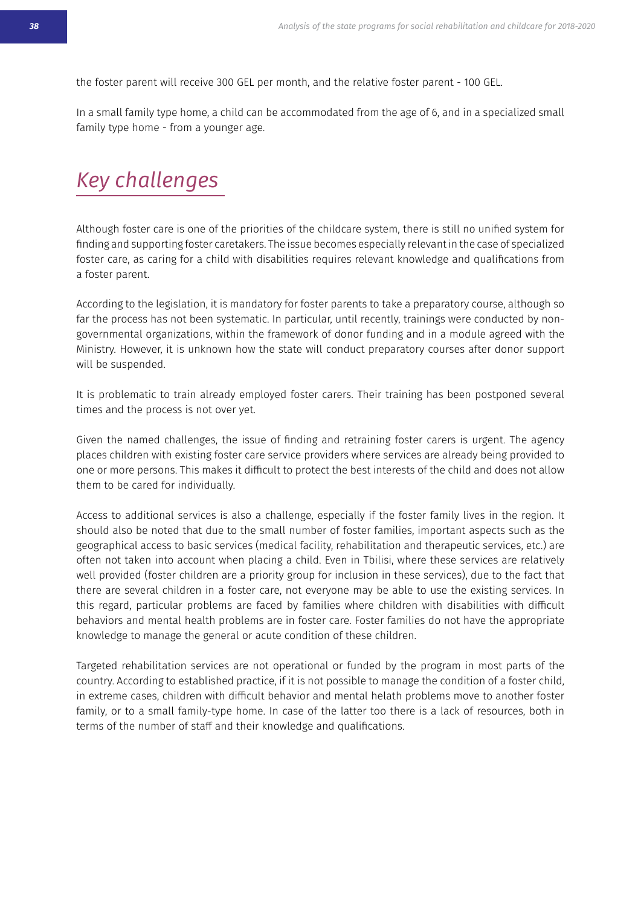the foster parent will receive 300 GEL per month, and the relative foster parent - 100 GEL.

In a small family type home, a child can be accommodated from the age of 6, and in a specialized small family type home - from a younger age.

## *Key challenges*

Although foster care is one of the priorities of the childcare system, there is still no unified system for finding and supporting foster caretakers. The issue becomes especially relevant in the case of specialized foster care, as caring for a child with disabilities requires relevant knowledge and qualifications from a foster parent.

According to the legislation, it is mandatory for foster parents to take a preparatory course, although so far the process has not been systematic. In particular, until recently, trainings were conducted by nongovernmental organizations, within the framework of donor funding and in a module agreed with the Ministry. However, it is unknown how the state will conduct preparatory courses after donor support will be suspended.

It is problematic to train already employed foster carers. Their training has been postponed several times and the process is not over yet.

Given the named challenges, the issue of finding and retraining foster carers is urgent. The agency places children with existing foster care service providers where services are already being provided to one or more persons. This makes it difficult to protect the best interests of the child and does not allow them to be cared for individually.

Access to additional services is also a challenge, especially if the foster family lives in the region. It should also be noted that due to the small number of foster families, important aspects such as the geographical access to basic services (medical facility, rehabilitation and therapeutic services, etc.) are often not taken into account when placing a child. Even in Tbilisi, where these services are relatively well provided (foster children are a priority group for inclusion in these services), due to the fact that there are several children in a foster care, not everyone may be able to use the existing services. In this regard, particular problems are faced by families where children with disabilities with difficult behaviors and mental health problems are in foster care. Foster families do not have the appropriate knowledge to manage the general or acute condition of these children.

Targeted rehabilitation services are not operational or funded by the program in most parts of the country. According to established practice, if it is not possible to manage the condition of a foster child, in extreme cases, children with difficult behavior and mental helath problems move to another foster family, or to a small family-type home. In case of the latter too there is a lack of resources, both in terms of the number of staff and their knowledge and qualifications.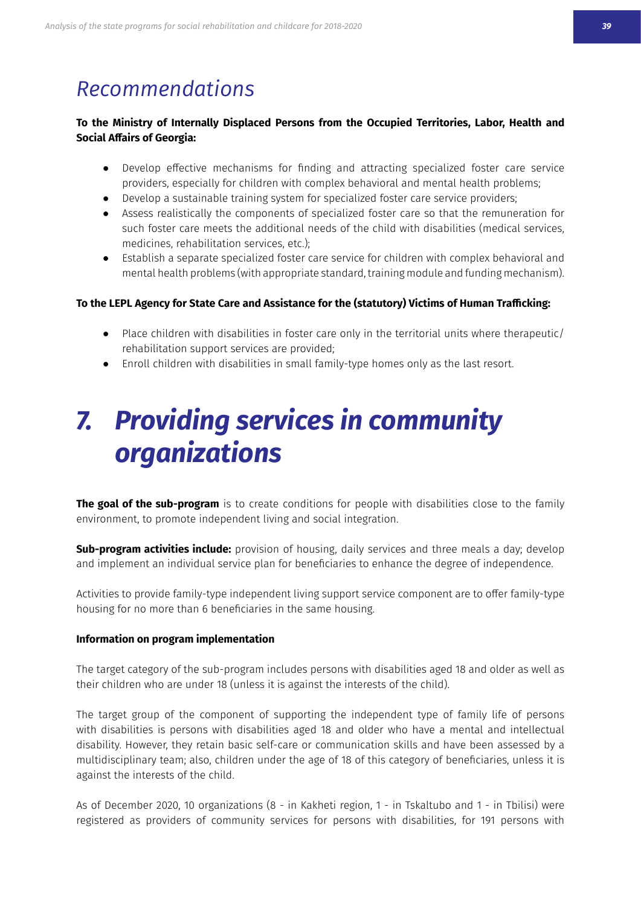### <span id="page-37-0"></span>*Recommendations*

#### To the Ministry of Internally Displaced Persons from the Occupied Territories, Labor, Health and **Social Affairs of Georgia:**

- Develop effective mechanisms for finding and attracting specialized foster care service providers, especially for children with complex behavioral and mental health problems;
- Develop a sustainable training system for specialized foster care service providers;
- Assess realistically the components of specialized foster care so that the remuneration for such foster care meets the additional needs of the child with disabilities (medical services, medicines, rehabilitation services, etc.);
- Establish a separate specialized foster care service for children with complex behavioral and mental health problems (with appropriate standard, training module and funding mechanism).

#### To the LEPL Agency for State Care and Assistance for the (statutory) Victims of Human Trafficking:

- Place children with disabilities in foster care only in the territorial units where therapeutic/ rehabilitation support services are provided;
- Enroll children with disabilities in small family-type homes only as the last resort.

# *7. Providing services in community organizations*

**The goal of the sub-program** is to create conditions for people with disabilities close to the family environment, to promote independent living and social integration.

**Sub-program activities include:** provision of housing, daily services and three meals a day; develop and implement an individual service plan for beneficiaries to enhance the degree of independence.

Activities to provide family-type independent living support service component are to offer family-type housing for no more than 6 beneficiaries in the same housing.

#### **Information on program implementation**

The target category of the sub-program includes persons with disabilities aged 18 and older as well as their children who are under 18 (unless it is against the interests of the child).

The target group of the component of supporting the independent type of family life of persons with disabilities is persons with disabilities aged 18 and older who have a mental and intellectual disability. However, they retain basic self-care or communication skills and have been assessed by a multidisciplinary team; also, children under the age of 18 of this category of beneficiaries, unless it is against the interests of the child.

As of December 2020, 10 organizations (8 - in Kakheti region, 1 - in Tskaltubo and 1 - in Tbilisi) were registered as providers of community services for persons with disabilities, for 191 persons with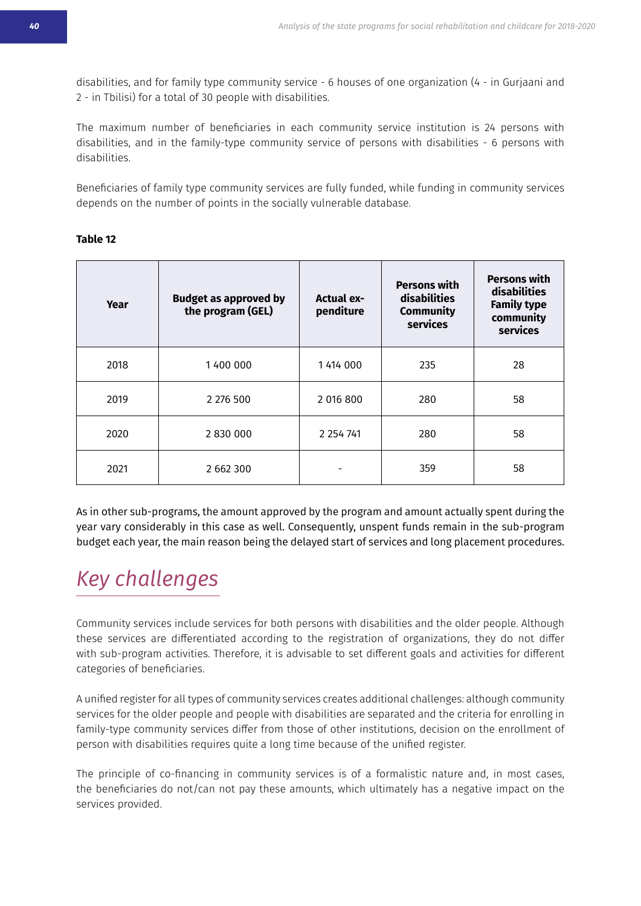disabilities, and for family type community service - 6 houses of one organization (4 - in Gurjaani and 2 - in Tbilisi) for a total of 30 people with disabilities.

The maximum number of beneficiaries in each community service institution is 24 persons with disabilities, and in the family-type community service of persons with disabilities - 6 persons with disabilities.

Beneficiaries of family type community services are fully funded, while funding in community services depends on the number of points in the socially vulnerable database.

#### **Table 12**

| Year | <b>Budget as approved by</b><br><b>Actual ex-</b><br>the program (GEL)<br>penditure |               | <b>Persons with</b><br>disabilities<br><b>Community</b><br>services | <b>Persons with</b><br>disabilities<br><b>Family type</b><br>community<br>services |
|------|-------------------------------------------------------------------------------------|---------------|---------------------------------------------------------------------|------------------------------------------------------------------------------------|
| 2018 | 1400 000                                                                            | 1 414 000     | 235                                                                 | 28                                                                                 |
| 2019 | 2 276 500                                                                           | 2 016 800     | 280                                                                 | 58                                                                                 |
| 2020 | 2 830 000                                                                           | 2 2 5 4 7 4 1 | 280                                                                 | 58                                                                                 |
| 2021 | 2 662 300                                                                           |               | 359                                                                 | 58                                                                                 |

As in other sub-programs, the amount approved by the program and amount actually spent during the year vary considerably in this case as well. Consequently, unspent funds remain in the sub-program budget each year, the main reason being the delayed start of services and long placement procedures.

## *Key challenges*

Community services include services for both persons with disabilities and the older people. Although these services are differentiated according to the registration of organizations, they do not differ with sub-program activities. Therefore, it is advisable to set different goals and activities for different categories of beneficiaries.

A unified register for all types of community services creates additional challenges: although community services for the older people and people with disabilities are separated and the criteria for enrolling in family-type community services differ from those of other institutions, decision on the enrollment of person with disabilities requires quite a long time because of the unified register.

The principle of co-financing in community services is of a formalistic nature and, in most cases, the beneficiaries do not/can not pay these amounts, which ultimately has a negative impact on the services provided.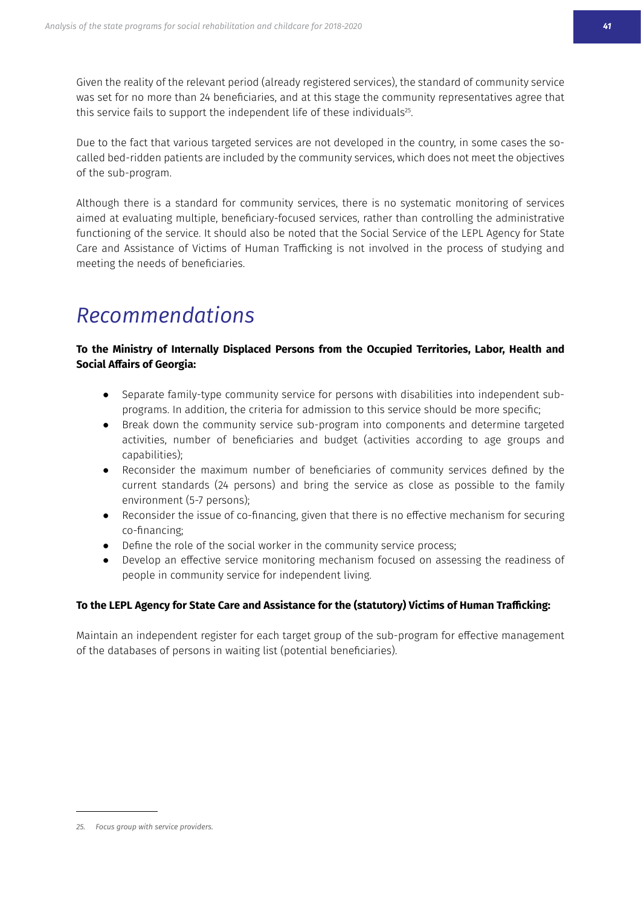Given the reality of the relevant period (already registered services), the standard of community service was set for no more than 24 beneficiaries, and at this stage the community representatives agree that this service fails to support the independent life of these individuals<sup>25</sup>.

Due to the fact that various targeted services are not developed in the country, in some cases the socalled bed-ridden patients are included by the community services, which does not meet the objectives of the sub-program.

Although there is a standard for community services, there is no systematic monitoring of services aimed at evaluating multiple, beneficiary-focused services, rather than controlling the administrative functioning of the service. It should also be noted that the Social Service of the LEPL Agency for State Care and Assistance of Victims of Human Trafficking is not involved in the process of studying and meeting the needs of beneficiaries.

### *<u>Recommendations</u>*

#### To the Ministry of Internally Displaced Persons from the Occupied Territories, Labor, Health and **Social Affairs of Georgia:**

- Separate family-type community service for persons with disabilities into independent subprograms. In addition, the criteria for admission to this service should be more specific;
- Break down the community service sub-program into components and determine targeted activities, number of beneficiaries and budget (activities according to age groups and capabilities):
- Reconsider the maximum number of beneficiaries of community services defined by the current standards (24 persons) and bring the service as close as possible to the family environment (5-7 persons);
- Reconsider the issue of co-financing, given that there is no effective mechanism for securing co-financing;
- Define the role of the social worker in the community service process;
- Develop an effective service monitoring mechanism focused on assessing the readiness of people in community service for independent living.

#### To the LEPL Agency for State Care and Assistance for the (statutory) Victims of Human Trafficking:

Maintain an independent register for each target group of the sub-program for effective management of the databases of persons in waiting list (potential beneficiaries).

<sup>25.</sup> Focus group with service providers.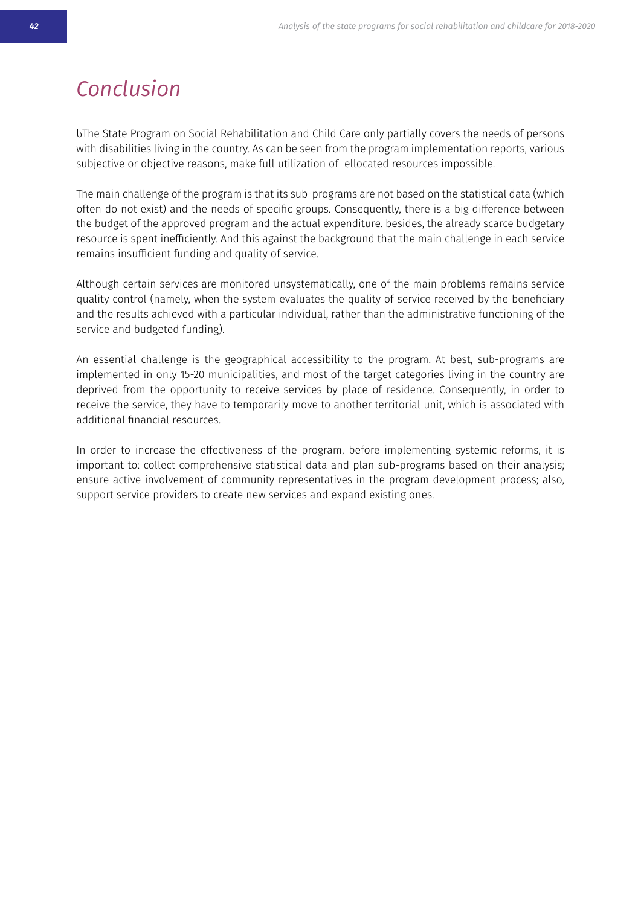### <span id="page-40-0"></span>*Conclusion*

UThe State Program on Social Rehabilitation and Child Care only partially covers the needs of persons with disabilities living in the country. As can be seen from the program implementation reports, various subjective or objective reasons, make full utilization of ellocated resources impossible.

The main challenge of the program is that its sub-programs are not based on the statistical data (which often do not exist) and the needs of specific groups. Consequently, there is a big difference between the budget of the approved program and the actual expenditure. besides, the already scarce budgetary resource is spent inefficiently. And this against the background that the main challenge in each service remains insufficient funding and quality of service.

Although certain services are monitored unsystematically, one of the main problems remains service quality control (namely, when the system evaluates the quality of service received by the beneficiary and the results achieved with a particular individual, rather than the administrative functioning of the service and budgeted funding).

An essential challenge is the geographical accessibility to the program. At best, sub-programs are implemented in only 15-20 municipalities, and most of the target categories living in the country are deprived from the opportunity to receive services by place of residence. Consequently, in order to receive the service, they have to temporarily move to another territorial unit, which is associated with additional financial resources.

In order to increase the effectiveness of the program, before implementing systemic reforms, it is important to: collect comprehensive statistical data and plan sub-programs based on their analysis; ensure active involvement of community representatives in the program development process; also, support service providers to create new services and expand existing ones.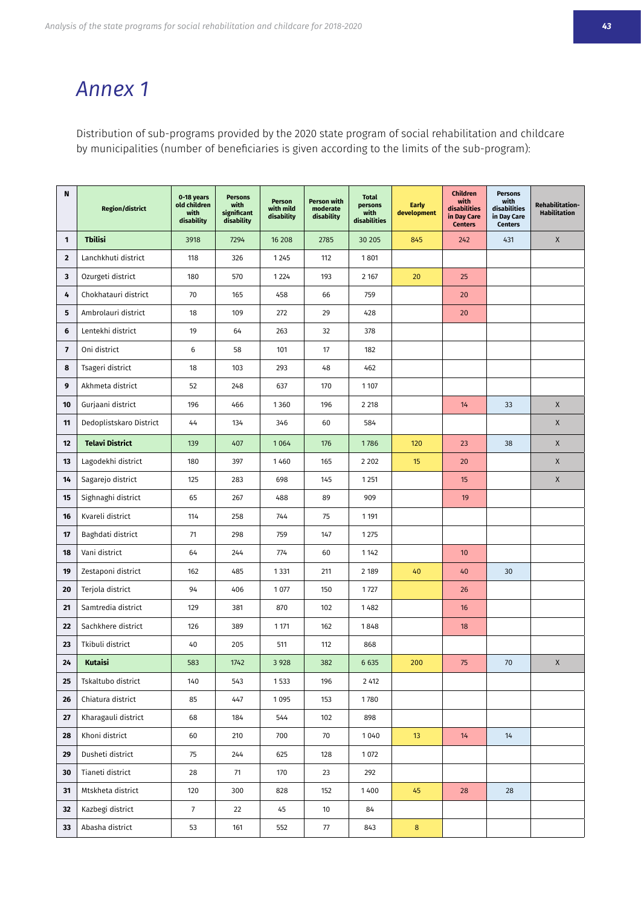### <span id="page-41-0"></span>*Annex 1*

Distribution of sub-programs provided by the 2020 state program of social rehabilitation and childcare by municipalities (number of beneficiaries is given according to the limits of the sub-program):

| N                       | <b>Region/district</b>  | 0-18 years<br>old children<br>with<br>disability | <b>Persons</b><br>with<br>significant<br>disability | Person<br>with mild<br>disability | Person with<br>moderate<br>disability | <b>Total</b><br>persons<br>with<br>disabilities | <b>Farly</b><br>development | Children<br>with<br>disabilities<br>in Day Care<br><b>Centers</b> | <b>Persons</b><br>with<br>disabilities<br>in Day Care<br><b>Centers</b> | Rehabilitation-<br><b>Habilitation</b> |
|-------------------------|-------------------------|--------------------------------------------------|-----------------------------------------------------|-----------------------------------|---------------------------------------|-------------------------------------------------|-----------------------------|-------------------------------------------------------------------|-------------------------------------------------------------------------|----------------------------------------|
| $\mathbf{1}$            | <b>Tbilisi</b>          | 3918                                             | 7294                                                | 16 208                            | 2785                                  | 30 205                                          | 845                         | 242                                                               | 431                                                                     | X                                      |
| $\mathbf 2$             | Lanchkhuti district     | 118                                              | 326                                                 | 1 2 4 5                           | 112                                   | 1801                                            |                             |                                                                   |                                                                         |                                        |
| 3                       | Ozurgeti district       | 180                                              | 570                                                 | 1 2 2 4                           | 193                                   | 2 1 6 7                                         | 20                          | 25                                                                |                                                                         |                                        |
| 4                       | Chokhatauri district    | 70                                               | 165                                                 | 458                               | 66                                    | 759                                             |                             | 20                                                                |                                                                         |                                        |
| 5                       | Ambrolauri district     | 18                                               | 109                                                 | 272                               | 29                                    | 428                                             |                             | 20                                                                |                                                                         |                                        |
| 6                       | Lentekhi district       | 19                                               | 64                                                  | 263                               | 32                                    | 378                                             |                             |                                                                   |                                                                         |                                        |
| $\overline{\mathbf{z}}$ | Oni district            | 6                                                | 58                                                  | 101                               | 17                                    | 182                                             |                             |                                                                   |                                                                         |                                        |
| 8                       | Tsageri district        | 18                                               | 103                                                 | 293                               | 48                                    | 462                                             |                             |                                                                   |                                                                         |                                        |
| 9                       | Akhmeta district        | 52                                               | 248                                                 | 637                               | 170                                   | 1 1 0 7                                         |                             |                                                                   |                                                                         |                                        |
| 10                      | Gurjaani district       | 196                                              | 466                                                 | 1360                              | 196                                   | 2 2 18                                          |                             | 14                                                                | 33                                                                      | X                                      |
| 11                      | Dedoplistskaro District | 44                                               | 134                                                 | 346                               | 60                                    | 584                                             |                             |                                                                   |                                                                         | X                                      |
| 12                      | <b>Telavi District</b>  | 139                                              | 407                                                 | 1064                              | 176                                   | 1786                                            | 120                         | 23                                                                | 38                                                                      | X                                      |
| 13                      | Lagodekhi district      | 180                                              | 397                                                 | 1460                              | 165                                   | 2 2 0 2                                         | 15                          | 20                                                                |                                                                         | X                                      |
| 14                      | Sagarejo district       | 125                                              | 283                                                 | 698                               | 145                                   | 1 2 5 1                                         |                             | 15                                                                |                                                                         | X                                      |
| 15                      | Sighnaghi district      | 65                                               | 267                                                 | 488                               | 89                                    | 909                                             |                             | 19                                                                |                                                                         |                                        |
| 16                      | Kvareli district        | 114                                              | 258                                                 | 744                               | 75                                    | 1 1 9 1                                         |                             |                                                                   |                                                                         |                                        |
| 17                      | Baghdati district       | 71                                               | 298                                                 | 759                               | 147                                   | 1 2 7 5                                         |                             |                                                                   |                                                                         |                                        |
| 18                      | Vani district           | 64                                               | 244                                                 | 774                               | 60                                    | 1 1 4 2                                         |                             | 10                                                                |                                                                         |                                        |
| 19                      | Zestaponi district      | 162                                              | 485                                                 | 1 3 3 1                           | 211                                   | 2 1 8 9                                         | 40                          | 40                                                                | 30                                                                      |                                        |
| 20                      | Terjola district        | 94                                               | 406                                                 | 1 0 7 7                           | 150                                   | 1727                                            |                             | 26                                                                |                                                                         |                                        |
| 21                      | Samtredia district      | 129                                              | 381                                                 | 870                               | 102                                   | 1482                                            |                             | 16                                                                |                                                                         |                                        |
| 22                      | Sachkhere district      | 126                                              | 389                                                 | 1 1 7 1                           | 162                                   | 1848                                            |                             | 18                                                                |                                                                         |                                        |
| 23                      | Tkibuli district        | 40                                               | 205                                                 | 511                               | 112                                   | 868                                             |                             |                                                                   |                                                                         |                                        |
| 24                      | Kutaisi                 | 583                                              | 1742                                                | 3 9 28                            | 382                                   | 6 6 3 5                                         | 200                         | 75                                                                | 70                                                                      | X                                      |
| 25                      | Tskaltubo district      | 140                                              | 543                                                 | 1533                              | 196                                   | 2 4 1 2                                         |                             |                                                                   |                                                                         |                                        |
| 26                      | Chiatura district       | 85                                               | 447                                                 | 1095                              | 153                                   | 1780                                            |                             |                                                                   |                                                                         |                                        |
| 27                      | Kharagauli district     | 68                                               | 184                                                 | 544                               | 102                                   | 898                                             |                             |                                                                   |                                                                         |                                        |
| 28                      | Khoni district          | 60                                               | 210                                                 | 700                               | 70                                    | 1040                                            | 13                          | 14                                                                | 14                                                                      |                                        |
| 29                      | Dusheti district        | 75                                               | 244                                                 | 625                               | 128                                   | 1 0 7 2                                         |                             |                                                                   |                                                                         |                                        |
| 30                      | Tianeti district        | 28                                               | 71                                                  | 170                               | 23                                    | 292                                             |                             |                                                                   |                                                                         |                                        |
| 31                      | Mtskheta district       | 120                                              | 300                                                 | 828                               | 152                                   | 1400                                            | 45                          | 28                                                                | 28                                                                      |                                        |
| 32                      | Kazbegi district        | $\overline{7}$                                   | 22                                                  | 45                                | 10                                    | 84                                              |                             |                                                                   |                                                                         |                                        |
| 33                      | Abasha district         | 53                                               | 161                                                 | 552                               | $77\,$                                | 843                                             | $\bf 8$                     |                                                                   |                                                                         |                                        |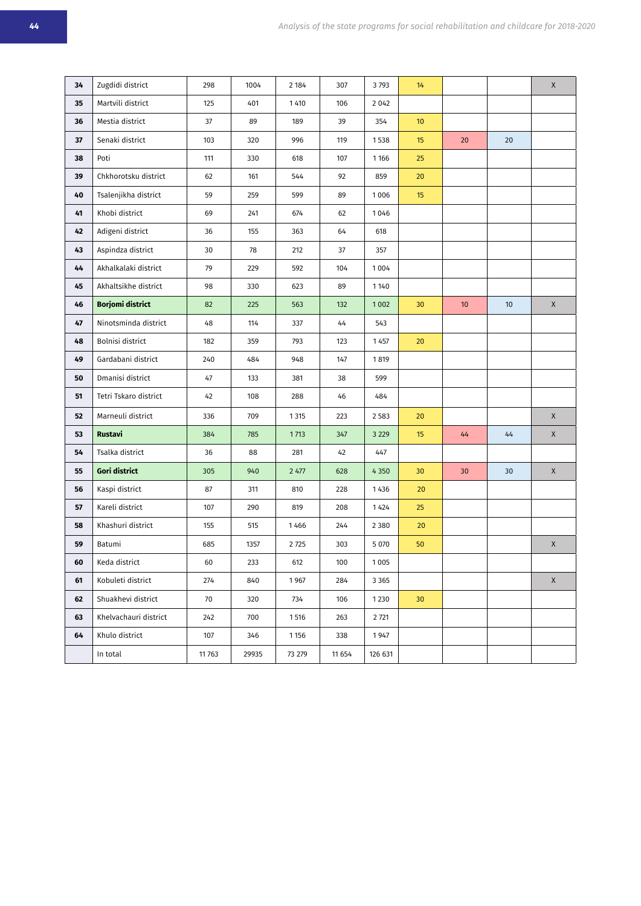| 34 | Zugdidi district        | 298    | 1004  | 2 184   | 307    | 3793    | 14              |    |    | $\mathsf X$ |
|----|-------------------------|--------|-------|---------|--------|---------|-----------------|----|----|-------------|
| 35 | Martvili district       | 125    | 401   | 1 4 1 0 | 106    | 2 0 4 2 |                 |    |    |             |
| 36 | Mestia district         | 37     | 89    | 189     | 39     | 354     | 10 <sup>°</sup> |    |    |             |
| 37 | Senaki district         | 103    | 320   | 996     | 119    | 1538    | 15              | 20 | 20 |             |
| 38 | Poti                    | 111    | 330   | 618     | 107    | 1 1 6 6 | 25              |    |    |             |
| 39 | Chkhorotsku district    | 62     | 161   | 544     | 92     | 859     | 20              |    |    |             |
| 40 | Tsalenjikha district    | 59     | 259   | 599     | 89     | 1006    | 15              |    |    |             |
| 41 | Khobi district          | 69     | 241   | 674     | 62     | 1046    |                 |    |    |             |
| 42 | Adigeni district        | 36     | 155   | 363     | 64     | 618     |                 |    |    |             |
| 43 | Aspindza district       | 30     | 78    | 212     | 37     | 357     |                 |    |    |             |
| 44 | Akhalkalaki district    | 79     | 229   | 592     | 104    | 1004    |                 |    |    |             |
| 45 | Akhaltsikhe district    | 98     | 330   | 623     | 89     | 1140    |                 |    |    |             |
| 46 | <b>Borjomi district</b> | 82     | 225   | 563     | 132    | 1002    | 30              | 10 | 10 | $\mathsf X$ |
| 47 | Ninotsminda district    | 48     | 114   | 337     | 44     | 543     |                 |    |    |             |
| 48 | Bolnisi district        | 182    | 359   | 793     | 123    | 1 4 5 7 | 20              |    |    |             |
| 49 | Gardabani district      | 240    | 484   | 948     | 147    | 1819    |                 |    |    |             |
| 50 | Dmanisi district        | 47     | 133   | 381     | 38     | 599     |                 |    |    |             |
| 51 | Tetri Tskaro district   | 42     | 108   | 288     | 46     | 484     |                 |    |    |             |
| 52 | Marneuli district       | 336    | 709   | 1 3 1 5 | 223    | 2 5 8 3 | 20              |    |    | $\mathsf X$ |
| 53 | <b>Rustavi</b>          | 384    | 785   | 1713    | 347    | 3 2 2 9 | 15              | 44 | 44 | $\mathsf X$ |
| 54 | Tsalka district         | 36     | 88    | 281     | 42     | 447     |                 |    |    |             |
| 55 | Gori district           | 305    | 940   | 2 477   | 628    | 4 3 5 0 | 30              | 30 | 30 | $\mathsf X$ |
| 56 | Kaspi district          | 87     | 311   | 810     | 228    | 1436    | 20              |    |    |             |
| 57 | Kareli district         | 107    | 290   | 819     | 208    | 1 4 2 4 | 25              |    |    |             |
| 58 | Khashuri district       | 155    | 515   | 1466    | 244    | 2 3 8 0 | 20              |    |    |             |
| 59 | Batumi                  | 685    | 1357  | 2725    | 303    | 5 0 7 0 | 50              |    |    | $\mathsf X$ |
| 60 | Keda district           | 60     | 233   | 612     | 100    | 1005    |                 |    |    |             |
| 61 | Kobuleti district       | 274    | 840   | 1967    | 284    | 3 3 6 5 |                 |    |    | $\mathsf X$ |
| 62 | Shuakhevi district      | 70     | 320   | 734     | 106    | 1230    | 30 <sup>°</sup> |    |    |             |
| 63 | Khelvachauri district   | 242    | 700   | 1516    | 263    | 2 7 21  |                 |    |    |             |
| 64 | Khulo district          | 107    | 346   | 1 1 5 6 | 338    | 1947    |                 |    |    |             |
|    | In total                | 11 763 | 29935 | 73 279  | 11 654 | 126 631 |                 |    |    |             |